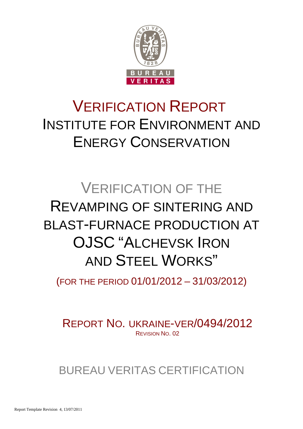

# VERIFICATION REPORT INSTITUTE FOR ENVIRONMENT AND ENERGY CONSERVATION

# VERIFICATION OF THE REVAMPING OF SINTERING AND BLAST-FURNACE PRODUCTION AT OJSC "ALCHEVSK IRON AND STEEL WORKS"

(FOR THE PERIOD 01/01/2012 – 31/03/2012)

REPORT NO. UKRAINE-VER/0494/2012 REVISION NO. 02

BUREAU VERITAS CERTIFICATION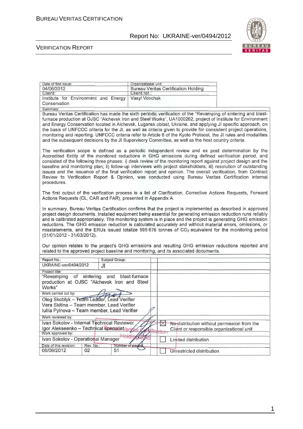

#### VERIFICATION REPORT

| 04/06/2012                                                                                                                                                                                                                       | Organizational unit: |                                                            |                                                                                                       |
|----------------------------------------------------------------------------------------------------------------------------------------------------------------------------------------------------------------------------------|----------------------|------------------------------------------------------------|-------------------------------------------------------------------------------------------------------|
|                                                                                                                                                                                                                                  |                      | <b>Bureau Veritas Certification Holding</b>                |                                                                                                       |
| Client:                                                                                                                                                                                                                          | Client ret.:         |                                                            |                                                                                                       |
| Institute for Environment and Energy                                                                                                                                                                                             | Vasyl Vovchak        |                                                            |                                                                                                       |
| Conservation                                                                                                                                                                                                                     |                      |                                                            |                                                                                                       |
| Summary:<br>Bureau Veritas Certification has made the sixth periodic verification of the "Revamping of sintering and blast-                                                                                                      |                      |                                                            |                                                                                                       |
| furnace production at OJSC "Alchevsk Iron and Steel Works", UA1000262, project of Institute for Environment                                                                                                                      |                      |                                                            |                                                                                                       |
| and Energy Conservation located in Alchevsk, Lugansk oblast, Ukraine, and applying JI specific approach, on                                                                                                                      |                      |                                                            |                                                                                                       |
| the basis of UNFCCC criteria for the JI, as well as criteria given to provide for consistent project operations,                                                                                                                 |                      |                                                            |                                                                                                       |
| monitoring and reporting. UNFCCC criteria refer to Article 6 of the Kyoto Protocol, the JI rules and modalities                                                                                                                  |                      |                                                            |                                                                                                       |
| and the subsequent decisions by the JI Supervisory Committee, as well as the host country criteria.                                                                                                                              |                      |                                                            |                                                                                                       |
|                                                                                                                                                                                                                                  |                      |                                                            |                                                                                                       |
| The verification scope is defined as a periodic independent review and ex post determination by the                                                                                                                              |                      |                                                            |                                                                                                       |
| Accredited Entity of the monitored reductions in GHG emissions during defined verification period, and                                                                                                                           |                      |                                                            |                                                                                                       |
| consisted of the following three phases: i) desk review of the monitoring report against project design and the                                                                                                                  |                      |                                                            |                                                                                                       |
| baseline and monitoring plan; ii) follow-up interviews with project stakeholders; iii) resolution of outstanding                                                                                                                 |                      |                                                            |                                                                                                       |
| issues and the issuance of the final verification report and opinion. The overall verification, from Contract                                                                                                                    |                      |                                                            |                                                                                                       |
| Review to Verification Report & Opinion, was conducted using Bureau Veritas Certification internal                                                                                                                               |                      |                                                            |                                                                                                       |
| procedures.                                                                                                                                                                                                                      |                      |                                                            |                                                                                                       |
|                                                                                                                                                                                                                                  |                      |                                                            |                                                                                                       |
| The first output of the verification process is a list of Clarification, Corrective Actions Requests, Forward                                                                                                                    |                      |                                                            |                                                                                                       |
| Actions Requests (CL, CAR and FAR), presented in Appendix A.                                                                                                                                                                     |                      |                                                            |                                                                                                       |
|                                                                                                                                                                                                                                  |                      |                                                            |                                                                                                       |
| In summary, Bureau Veritas Certification confirms that the project is implemented as described in approved                                                                                                                       |                      |                                                            |                                                                                                       |
| project design documents. Installed equipment being essential for generating emission reduction runs reliably                                                                                                                    |                      |                                                            |                                                                                                       |
| and is calibrated appropriately. The monitoring system is in place and the project is generating GHG emission                                                                                                                    |                      |                                                            |                                                                                                       |
| reductions. The GHG emission reduction is calculated accurately and without material errors, omissions, or<br>misstatements, and the ERUs issued totalize 595 676 tonnes of CO <sub>2</sub> equivalent for the monitoring period |                      |                                                            |                                                                                                       |
| (01/01/2012 - 31/03/2012).                                                                                                                                                                                                       |                      |                                                            |                                                                                                       |
|                                                                                                                                                                                                                                  |                      |                                                            |                                                                                                       |
|                                                                                                                                                                                                                                  |                      |                                                            |                                                                                                       |
|                                                                                                                                                                                                                                  |                      |                                                            |                                                                                                       |
|                                                                                                                                                                                                                                  |                      |                                                            | Our opinion relates to the project's GHG emissions and resulting GHG emission reductions reported and |
| related to the approved project baseline and monitoring, and its associated documents.                                                                                                                                           |                      |                                                            |                                                                                                       |
| Report No.:<br>Subject Group:                                                                                                                                                                                                    |                      |                                                            |                                                                                                       |
| UKRAINE-ver/0494/2012<br>JI                                                                                                                                                                                                      |                      |                                                            |                                                                                                       |
| Project title:                                                                                                                                                                                                                   |                      |                                                            |                                                                                                       |
| "Revamping of sintering                                                                                                                                                                                                          | and blast-furnace    |                                                            |                                                                                                       |
| production at OJSC "Alchevsk Iron and Steel                                                                                                                                                                                      |                      |                                                            |                                                                                                       |
| Works"                                                                                                                                                                                                                           |                      |                                                            |                                                                                                       |
| Work carried out by:                                                                                                                                                                                                             |                      |                                                            |                                                                                                       |
| Oleg Skoblyk - Team Leader, Lead Verifier                                                                                                                                                                                        |                      |                                                            |                                                                                                       |
| Vera Skitina - Team member, Lead Verifier                                                                                                                                                                                        |                      |                                                            |                                                                                                       |
| Iuliia Pylnova - Team member, Lead Verifier                                                                                                                                                                                      |                      |                                                            |                                                                                                       |
| Work reviewed by:                                                                                                                                                                                                                |                      |                                                            |                                                                                                       |
| Ivan Sokolov - Internal Technical Reviewer                                                                                                                                                                                       |                      | $\boxtimes$<br>No-distribution without permission from the |                                                                                                       |
| Igor Alekseenko – Technical Specialist/oria                                                                                                                                                                                      |                      | Client or responsible organizational unit                  |                                                                                                       |
| Work approved by:                                                                                                                                                                                                                |                      | ation                                                      |                                                                                                       |
| Ivan Sokolov - Operational Manager                                                                                                                                                                                               |                      | Limited distribution                                       |                                                                                                       |
| Date of this revision:<br>Rev. No.:<br>06/06/2012<br>02<br>51                                                                                                                                                                    | Number of pages      | Unrestricted distribution                                  |                                                                                                       |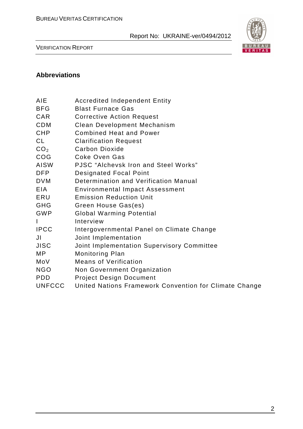

VERIFICATION REPORT

## **Abbreviations**

- BFG Blast Furnace Gas
- CAR Corrective Action Request
- CDM Clean Development Mechanism
- CHP Combined Heat and Power
- CL Clarification Request
- CO<sub>2</sub> Carbon Dioxide
- COG Coke Oven Gas
- AISW PJSC "Alchevsk Iron and Steel Works"
- DFP Designated Focal Point
- DVM Determination and Verification Manual
- EIA Environmental Impact Assessment
- ERU Emission Reduction Unit
- GHG Green House Gas(es)
- GWP Global Warming Potential
- I Interview
- IPCC Intergovernmental Panel on Climate Change
- JI Joint Implementation
- JISC Joint Implementation Supervisory Committee
- MP Monitoring Plan
- MoV Means of Verification
- NGO Non Government Organization
- PDD Project Design Document
- UNFCCC United Nations Framework Convention for Climate Change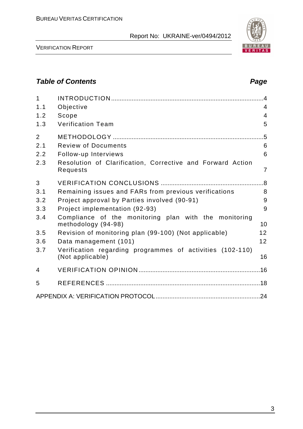

VERIFICATION REPORT

# **Table of Contents Page 2018**

| $\mathbf{1}$<br>1.1 | Objective                                                                     | $\overline{4}$<br>$\overline{4}$ |
|---------------------|-------------------------------------------------------------------------------|----------------------------------|
| 1.2                 | Scope                                                                         | $\overline{4}$                   |
| 1.3                 | <b>Verification Team</b>                                                      | 5                                |
| $\overline{2}$      |                                                                               | $.5\,$                           |
| 2.1                 | <b>Review of Documents</b>                                                    | 6                                |
| 2.2                 | Follow-up Interviews                                                          | 6                                |
| 2.3                 | Resolution of Clarification, Corrective and Forward Action<br>Requests        | $\overline{7}$                   |
| 3                   |                                                                               |                                  |
| 3.1                 | Remaining issues and FARs from previous verifications                         | 8                                |
| 3.2                 | Project approval by Parties involved (90-91)                                  | 9                                |
| 3.3                 | Project implementation (92-93)                                                | 9                                |
| 3.4                 | Compliance of the monitoring plan with the monitoring<br>methodology (94-98)  | 10                               |
| 3.5                 | Revision of monitoring plan (99-100) (Not applicable)                         | 12                               |
| 3.6                 | Data management (101)                                                         | 12                               |
| 3.7                 | Verification regarding programmes of activities (102-110)<br>(Not applicable) | 16                               |
| 4                   |                                                                               |                                  |
| 5                   |                                                                               |                                  |
|                     |                                                                               |                                  |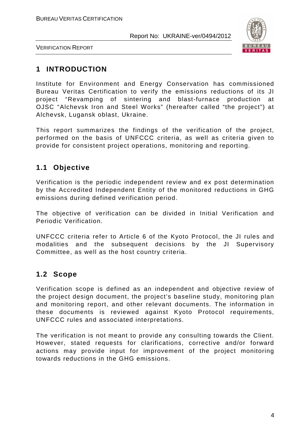

VERIFICATION REPORT

# **1 INTRODUCTION**

Institute for Environment and Energy Conservation has commissioned Bureau Veritas Certification to verify the emissions reductions of its JI project "Revamping of sintering and blast-furnace production at OJSC "Alchevsk Iron and Steel Works" (hereafter called "the project") at Alchevsk, Lugansk oblast, Ukraine.

This report summarizes the findings of the verification of the project, performed on the basis of UNFCCC criteria, as well as criteria given to provide for consistent project operations, monitoring and reporting.

# **1.1 Objective**

Verification is the periodic independent review and ex post determination by the Accredited Independent Entity of the monitored reductions in GHG emissions during defined verification period.

The objective of verification can be divided in Initial Verification and Periodic Verification.

UNFCCC criteria refer to Article 6 of the Kyoto Protocol, the JI rules and modalities and the subsequent decisions by the JI Supervisory Committee, as well as the host country criteria.

# **1.2 Scope**

Verification scope is defined as an independent and objective review of the project design document, the project's baseline study, monitoring plan and monitoring report, and other relevant documents. The information in these documents is reviewed against Kyoto Protocol requirements, UNFCCC rules and associated interpretations.

The verification is not meant to provide any consulting towards the Client. However, stated requests for clarifications, corrective and/or forward actions may provide input for improvement of the project monitoring towards reductions in the GHG emissions.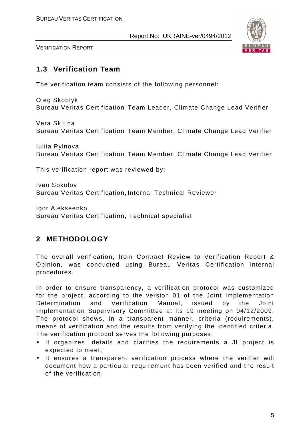

VERIFICATION REPORT

# **1.3 Verification Team**

The verification team consists of the following personnel:

Oleg Skoblyk Bureau Veritas Certification Team Leader, Climate Change Lead Verifier

Vera Skitina Bureau Veritas Certification Team Member, Climate Change Lead Verifier

Iuliia Pylnova Bureau Veritas Certification Team Member, Climate Change Lead Verifier

This verification report was reviewed by:

Ivan Sokolov Bureau Veritas Certification, Internal Technical Reviewer

Igor Alekseenko Bureau Veritas Certification, Technical specialist

# **2 METHODOLOGY**

The overall verification, from Contract Review to Verification Report & Opinion, was conducted using Bureau Veritas Certification internal procedures.

In order to ensure transparency, a verification protocol was customized for the project, according to the version 01 of the Joint Implementation Determination and Verification Manual, issued by the Joint Implementation Supervisory Committee at its 19 meeting on 04/12/2009. The protocol shows, in a transparent manner, criteria (requirements), means of verification and the results from verifying the identified criteria. The verification protocol serves the following purposes:

- It organizes, details and clarifies the requirements a JI project is expected to meet;
- It ensures a transparent verification process where the verifier will document how a particular requirement has been verified and the result of the verification.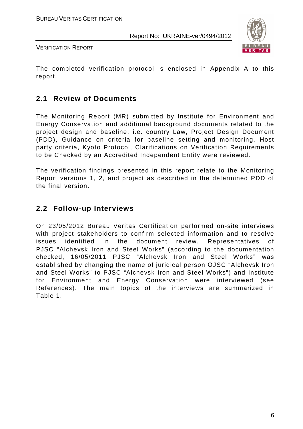

VERIFICATION REPORT

The completed verification protocol is enclosed in Appendix A to this report.

# **2.1 Review of Documents**

The Monitoring Report (MR) submitted by Institute for Environment and Energy Conservation and additional background documents related to the project design and baseline, i.e. country Law, Project Design Document (PDD), Guidance on criteria for baseline setting and monitoring, Host party criteria, Kyoto Protocol, Clarifications on Verification Requirements to be Checked by an Accredited Independent Entity were reviewed.

The verification findings presented in this report relate to the Monitoring Report versions 1, 2, and project as described in the determined PDD of the final version.

# **2.2 Follow-up Interviews**

On 23/05/2012 Bureau Veritas Certification performed on-site interviews with project stakeholders to confirm selected information and to resolve issues identified in the document review. Representatives of PJSC "Alchevsk Iron and Steel Works" (according to the documentation checked, 16/05/2011 PJSC "Alchevsk Iron and Steel Works" was established by changing the name of juridical person OJSC "Alchevsk Iron and Steel Works" to PJSC "Alchevsk Iron and Steel Works") and Institute for Environment and Energy Conservation were interviewed (see References). The main topics of the interviews are summarized in Table 1.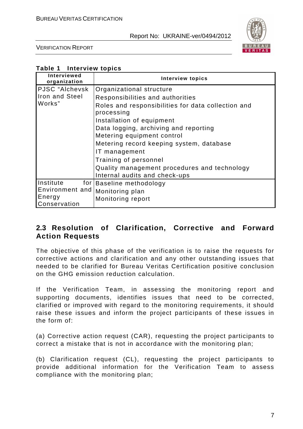

VERIFICATION REPORT

| Table 1<br><b>Interview topics</b> |  |
|------------------------------------|--|
|------------------------------------|--|

| Interviewed<br>organization                                       | <b>Interview topics</b>                                                                                                                                                                                                                                                                                                                                                    |
|-------------------------------------------------------------------|----------------------------------------------------------------------------------------------------------------------------------------------------------------------------------------------------------------------------------------------------------------------------------------------------------------------------------------------------------------------------|
| PJSC "Alchevsk<br>Iron and Steel<br>Works"                        | Organizational structure<br>Responsibilities and authorities<br>Roles and responsibilities for data collection and<br>processing<br>Installation of equipment<br>Data logging, archiving and reporting<br>Metering equipment control<br>Metering record keeping system, database<br>IT management<br>Training of personnel<br>Quality management procedures and technology |
|                                                                   | Internal audits and check-ups                                                                                                                                                                                                                                                                                                                                              |
| Institute<br>for $ $<br>Environment and<br>Energy<br>Conservation | Baseline methodology<br>Monitoring plan<br>Monitoring report                                                                                                                                                                                                                                                                                                               |

# **2.3 Resolution of Clarification, Corrective and Forward Action Requests**

The objective of this phase of the verification is to raise the requests for corrective actions and clarification and any other outstanding issues that needed to be clarified for Bureau Veritas Certification positive conclusion on the GHG emission reduction calculation.

If the Verification Team, in assessing the monitoring report and supporting documents, identifies issues that need to be corrected, clarified or improved with regard to the monitoring requirements, it should raise these issues and inform the project participants of these issues in the form of:

(a) Corrective action request (CAR), requesting the project participants to correct a mistake that is not in accordance with the monitoring plan;

(b) Clarification request (CL), requesting the project participants to provide additional information for the Verification Team to assess compliance with the monitoring plan;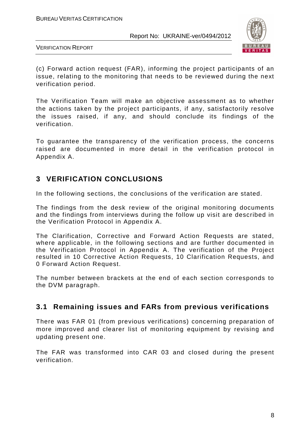

VERIFICATION REPORT

(c) Forward action request (FAR), informing the project participants of an issue, relating to the monitoring that needs to be reviewed during the next verification period.

The Verification Team will make an objective assessment as to whether the actions taken by the project participants, if any, satisfactorily resolve the issues raised, if any, and should conclude its findings of the verification.

To guarantee the transparency of the verification process, the concerns raised are documented in more detail in the verification protocol in Appendix A.

# **3 VERIFICATION CONCLUSIONS**

In the following sections, the conclusions of the verification are stated.

The findings from the desk review of the original monitoring documents and the findings from interviews during the follow up visit are described in the Verification Protocol in Appendix A.

The Clarification, Corrective and Forward Action Requests are stated, where applicable, in the following sections and are further documented in the Verification Protocol in Appendix A. The verification of the Project resulted in 10 Corrective Action Requests, 10 Clarification Requests, and 0 Forward Action Request.

The number between brackets at the end of each section corresponds to the DVM paragraph.

# **3.1 Remaining issues and FARs from previous verifications**

There was FAR 01 (from previous verifications) concerning preparation of more improved and clearer list of monitoring equipment by revising and updating present one.

The FAR was transformed into CAR 03 and closed during the present verification.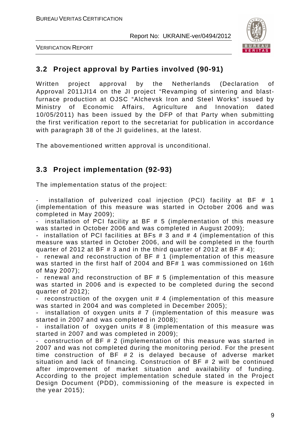



# **3.2 Project approval by Parties involved (90-91)**

Written project approval by the Netherlands (Declaration of Approval 2011JI14 on the JI project "Revamping of sintering and blastfurnace production at OJSC "Alchevsk Iron and Steel Works" issued by Ministry of Economic Affairs, Agriculture and Innovation dated 10/05/2011) has been issued by the DFP of that Party when submitting the first verification report to the secretariat for publication in accordance with paragraph 38 of the JI guidelines, at the latest.

The abovementioned written approval is unconditional.

# **3.3 Project implementation (92-93)**

The implementation status of the project:

installation of pulverized coal injection (PCI) facility at BF  $#$  1 (implementation of this measure was started in October 2006 and was completed in May 2009);

installation of PCI facility at BF  $# 5$  (implementation of this measure was started in October 2006 and was completed in August 2009);

- installation of PCI facilities at BFs # 3 and # 4 (implementation of this measure was started in October 2006, and will be completed in the fourth quarter of 2012 at BF  $\#$  3 and in the third quarter of 2012 at BF  $\#$  4):

renewal and reconstruction of BF # 1 (implementation of this measure was started in the first half of 2004 and BF# 1 was commissioned on 16th of May 2007);

renewal and reconstruction of BF  $# 5$  (implementation of this measure was started in 2006 and is expected to be completed during the second quarter of 2012);

- reconstruction of the oxygen unit # 4 (implementation of this measure was started in 2004 and was completed in December 2005);

installation of oxygen units  $# 7$  (implementation of this measure was started in 2007 and was completed in 2008);

- installation of oxygen units # 8 (implementation of this measure was started in 2007 and was completed in 2009);

- construction of BF # 2 (implementation of this measure was started in 2007 and was not completed during the monitoring period. For the present time construction of BF # 2 is delayed because of adverse market situation and lack of financing. Construction of BF # 2 will be continued after improvement of market situation and availability of funding. According to the project implementation schedule stated in the Project Design Document (PDD), commissioning of the measure is expected in the year 2015);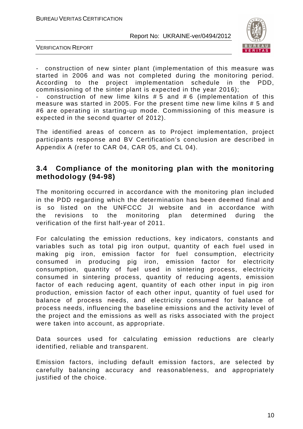

VERIFICATION REPORT

construction of new sinter plant (implementation of this measure was started in 2006 and was not completed during the monitoring period. According to the project implementation schedule in the PDD, commissioning of the sinter plant is expected in the year 2016);

construction of new lime kilns  $# 5$  and  $# 6$  (implementation of this measure was started in 2005. For the present time new lime kilns # 5 and #6 are operating in starting-up mode. Commissioning of this measure is expected in the second quarter of 2012).

The identified areas of concern as to Project implementation, project participants response and BV Certification's conclusion are described in Appendix A (refer to CAR 04, CAR 05, and CL 04).

### **3.4 Compliance of the monitoring plan with the monitoring methodology (94-98)**

The monitoring occurred in accordance with the monitoring plan included in the PDD regarding which the determination has been deemed final and is so listed on the UNFCCC JI website and in accordance with the revisions to the monitoring plan determined during the verification of the first half-year of 2011.

For calculating the emission reductions, key indicators, constants and variables such as total pig iron output, quantity of each fuel used in making pig iron, emission factor for fuel consumption, electricity consumed in producing pig iron, emission factor for electricity consumption, quantity of fuel used in sintering process, electricity consumed in sintering process, quantity of reducing agents, emission factor of each reducing agent, quantity of each other input in pig iron production, emission factor of each other input, quantity of fuel used for balance of process needs, and electricity consumed for balance of process needs, influencing the baseline emissions and the activity level of the project and the emissions as well as risks associated with the project were taken into account, as appropriate.

Data sources used for calculating emission reductions are clearly identified, reliable and transparent.

Emission factors, including default emission factors, are selected by carefully balancing accuracy and reasonableness, and appropriately justified of the choice.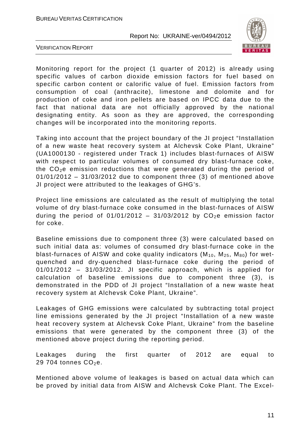

VERIFICATION REPORT

Monitoring report for the project (1 quarter of 2012) is already using specific values of carbon dioxide emission factors for fuel based on specific carbon content or calorific value of fuel. Emission factors from consumption of coal (anthracite), limestone and dolomite and for production of coke and iron pellets are based on IPCC data due to the fact that national data are not officially approved by the national designating entity. As soon as they are approved, the corresponding changes will be incorporated into the monitoring reports.

Taking into account that the project boundary of the JI project "Installation of a new waste heat recovery system at Alchevsk Coke Plant, Ukraine" (UA1000130 - registered under Track 1) includes blast-furnaces of AISW with respect to particular volumes of consumed dry blast-furnace coke, the  $CO<sub>2</sub>e$  emission reductions that were generated during the period of  $01/01/2012 - 31/03/2012$  due to component three (3) of mentioned above JI project were attributed to the leakages of GHG's.

Project line emissions are calculated as the result of multiplying the total volume of dry blast-furnace coke consumed in the blast-furnaces of AISW during the period of 01/01/2012 – 31/03/2012 by  $CO<sub>2</sub>e$  emission factor for coke.

Baseline emissions due to component three (3) were calculated based on such initial data as: volumes of consumed dry blast-furnace coke in the blast-furnaces of AISW and coke quality indicators  $(M_{10}, M_{25}, M_{80})$  for wetquenched and dry-quenched blast-furnace coke during the period of 01/01/2012 – 31/03/2012. JI specific approach, which is applied for calculation of baseline emissions due to component three (3), is demonstrated in the PDD of JI project "Installation of a new waste heat recovery system at Alchevsk Coke Plant, Ukraine".

Leakages of GHG emissions were calculated by subtracting total project line emissions generated by the JI project "Installation of a new waste heat recovery system at Alchevsk Coke Plant, Ukraine" from the baseline emissions that were generated by the component three (3) of the mentioned above project during the reporting period.

Leakages during the first quarter of 2012 are equal to 29 704 tonnes  $CO<sub>2</sub>e$ .

Mentioned above volume of leakages is based on actual data which can be proved by initial data from AISW and Alchevsk Coke Plant. The Excel-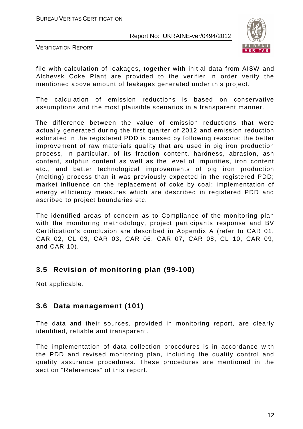

VERIFICATION REPORT

file with calculation of leakages, together with initial data from AISW and Alchevsk Coke Plant are provided to the verifier in order verify the mentioned above amount of leakages generated under this project.

The calculation of emission reductions is based on conservative assumptions and the most plausible scenarios in a transparent manner.

 The difference between the value of emission reductions that were actually generated during the first quarter of 2012 and emission reduction estimated in the registered PDD is caused by following reasons: the better improvement of raw materials quality that are used in pig iron production process, in particular, of its fraction content, hardness, abrasion, ash content, sulphur content as well as the level of impurities, iron content etc., and better technological improvements of pig iron production (melting) process than it was previously expected in the registered PDD; market influence on the replacement of coke by coal; implementation of energy efficiency measures which are described in registered PDD and ascribed to project boundaries etc.

The identified areas of concern as to Compliance of the monitoring plan with the monitoring methodology, project participants response and BV Certification's conclusion are described in Appendix A (refer to CAR 01, CAR 02, CL 03, CAR 03, CAR 06, CAR 07, CAR 08, CL 10, CAR 09, and CAR 10).

# **3.5 Revision of monitoring plan (99-100)**

Not applicable.

# **3.6 Data management (101)**

The data and their sources, provided in monitoring report, are clearly identified, reliable and transparent.

The implementation of data collection procedures is in accordance with the PDD and revised monitoring plan, including the quality control and quality assurance procedures. These procedures are mentioned in the section "References" of this report.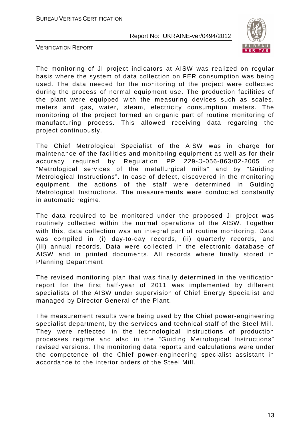

VERIFICATION REPORT

The monitoring of JI project indicators at AISW was realized on regular basis where the system of data collection on FER consumption was being used. The data needed for the monitoring of the project were collected during the process of normal equipment use. The production facilities of the plant were equipped with the measuring devices such as scales, meters and gas, water, steam, electricity consumption meters. The monitoring of the project formed an organic part of routine monitoring of manufacturing process. This allowed receiving data regarding the project continuously.

The Chief Metrological Specialist of the AISW was in charge for maintenance of the facilities and monitoring equipment as well as for their accuracy required by Regulation PP 229-Э-056-863/02-2005 of "Metrological services of the metallurgical mills" and by "Guiding Metrological Instructions". In case of defect, discovered in the monitoring equipment, the actions of the staff were determined in Guiding Metrological Instructions. The measurements were conducted constantly in automatic regime.

The data required to be monitored under the proposed JI project was routinely collected within the normal operations of the AISW. Together with this, data collection was an integral part of routine monitoring. Data was compiled in (i) day-to-day records, (ii) quarterly records, and (iii) annual records. Data were collected in the electronic database of AISW and in printed documents. All records where finally stored in Planning Department.

The revised monitoring plan that was finally determined in the verification report for the first half-year of 2011 was implemented by different specialists of the AISW under supervision of Chief Energy Specialist and managed by Director General of the Plant.

The measurement results were being used by the Chief power-engineering specialist department, by the services and technical staff of the Steel Mill. They were reflected in the technological instructions of production processes regime and also in the "Guiding Metrological Instructions" revised versions. The monitoring data reports and calculations were under the competence of the Chief power-engineering specialist assistant in accordance to the interior orders of the Steel Mill.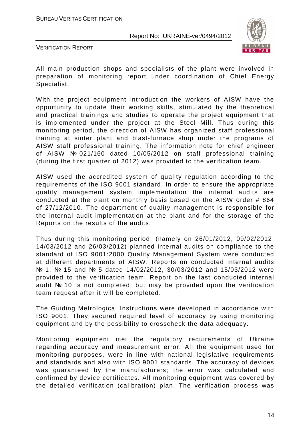

VERIFICATION REPORT

All main production shops and specialists of the plant were involved in preparation of monitoring report under coordination of Chief Energy Specialist.

With the project equipment introduction the workers of AISW have the opportunity to update their working skills, stimulated by the theoretical and practical trainings and studies to operate the project equipment that is implemented under the project at the Steel Mill. Thus during this monitoring period, the direction of AISW has organized staff professional training at sinter plant and blast-furnace shop under the programs of AISW staff professional training. The information note for chief engineer of AISW № 021/160 dated 10/05/2012 on staff professional training (during the first quarter of 2012) was provided to the verification team.

AISW used the accredited system of quality regulation according to the requirements of the ISO 9001 standard. In order to ensure the appropriate quality management system implementation the internal audits are conducted at the plant on monthly basis based on the AISW order # 864 of 27/12/2010. The department of quality management is responsible for the internal audit implementation at the plant and for the storage of the Reports on the results of the audits.

Thus during this monitoring period, (namely on 26/01/2012, 09/02/2012, 14/03/2012 and 26/03/2012) planned internal audits on compliance to the standard of ISO 9001:2000 Quality Management System were conducted at different departments of AISW. Reports on conducted internal audits № 1, № 15 and № 5 dated 14/02/2012, 30/03/2012 and 15/03/2012 were provided to the verification team. Report on the last conducted internal audit № 10 is not completed, but may be provided upon the verification team request after it will be completed.

The Guiding Metrological Instructions were developed in accordance with ISO 9001. They secured required level of accuracy by using monitoring equipment and by the possibility to crosscheck the data adequacy.

Monitoring equipment met the regulatory requirements of Ukraine regarding accuracy and measurement error. All the equipment used for monitoring purposes, were in line with national legislative requirements and standards and also with ISO 9001 standards. The accuracy of devices was guaranteed by the manufacturers; the error was calculated and confirmed by device certificates. All monitoring equipment was covered by the detailed verification (calibration) plan. The verification process was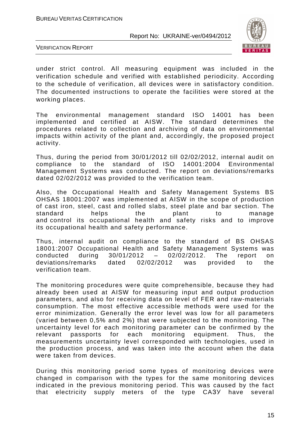

VERIFICATION REPORT

under strict control. All measuring equipment was included in the verification schedule and verified with established periodicity. According to the schedule of verification, all devices were in satisfactory condition. The documented instructions to operate the facilities were stored at the working places.

The environmental management standard ISO 14001 has been implemented and certified at AISW. The standard determines the procedures related to collection and archiving of data on environmental impacts within activity of the plant and, accordingly, the proposed project activity.

Thus, during the period from 30/01/2012 till 02/02/2012, internal audit on compliance to the standard of ISO 14001:2004 Environmental Management Systems was conducted. The report on deviations/remarks dated 02/02/2012 was provided to the verification team.

Also, the Occupational Health and Safety Management Systems BS OHSAS 18001:2007 was implemented at AISW in the scope of production of cast iron, steel, cast and rolled slabs, steel plate and bar section. The standard helps the plant to manage and control its occupational health and safety risks and to improve its occupational health and safety performance.

Thus, internal audit on compliance to the standard of BS OHSAS 18001:2007 Occupational Health and Safety Management Systems was conducted during 30/01/2012 – 02/02/2012. The report on deviations/remarks dated 02/02/2012 was provided to the verification team.

The monitoring procedures were quite comprehensible, because they had already been used at AISW for measuring input and output production parameters, and also for receiving data on level of FER and raw-materials consumption. The most effective accessible methods were used for the error minimization. Generally the error level was low for all parameters (varied between 0,5% and 2%) that were subjected to the monitoring. The uncertainty level for each monitoring parameter can be confirmed by the relevant passports for each monitoring equipment. Thus, the measurements uncertainty level corresponded with technologies, used in the production process, and was taken into the account when the data were taken from devices.

During this monitoring period some types of monitoring devices were changed in comparison with the types for the same monitoring devices indicated in the previous monitoring period. This was caused by the fact that electricity supply meters of the type CAЗУ have several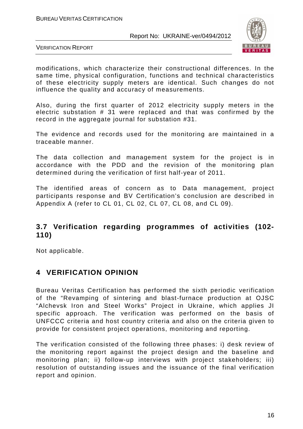

VERIFICATION REPORT

modifications, which characterize their constructional differences. In the same time, physical configuration, functions and technical characteristics of these electricity supply meters are identical. Such changes do not influence the quality and accuracy of measurements.

Also, during the first quarter of 2012 electricity supply meters in the electric substation # 31 were replaced and that was confirmed by the record in the aggregate journal for substation #31.

The evidence and records used for the monitoring are maintained in a traceable manner.

The data collection and management system for the project is in accordance with the PDD and the revision of the monitoring plan determined during the verification of first half-year of 2011.

The identified areas of concern as to Data management, project participants response and BV Certification's conclusion are described in Appendix A (refer to CL 01, CL 02, CL 07, CL 08, and CL 09).

# **3.7 Verification regarding programmes of activities (102- 110)**

Not applicable.

# **4 VERIFICATION OPINION**

Bureau Veritas Certification has performed the sixth periodic verification of the "Revamping of sintering and blast-furnace production at OJSC "Alchevsk Iron and Steel Works" Project in Ukraine, which applies JI specific approach. The verification was performed on the basis of UNFCCC criteria and host country criteria and also on the criteria given to provide for consistent project operations, monitoring and reporting.

The verification consisted of the following three phases: i) desk review of the monitoring report against the project design and the baseline and monitoring plan; ii) follow-up interviews with project stakeholders; iii) resolution of outstanding issues and the issuance of the final verification report and opinion.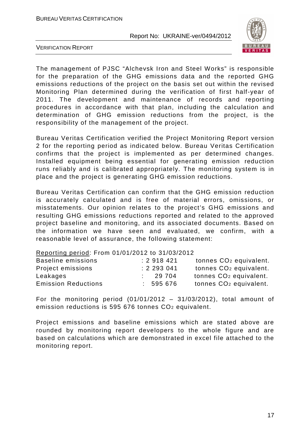

VERIFICATION REPORT

The management of PJSC "Alchevsk Iron and Steel Works" is responsible for the preparation of the GHG emissions data and the reported GHG emissions reductions of the project on the basis set out within the revised Monitoring Plan determined during the verification of first half-year of 2011. The development and maintenance of records and reporting procedures in accordance with that plan, including the calculation and determination of GHG emission reductions from the project, is the responsibility of the management of the project.

Bureau Veritas Certification verified the Project Monitoring Report version 2 for the reporting period as indicated below. Bureau Veritas Certification confirms that the project is implemented as per determined changes. Installed equipment being essential for generating emission reduction runs reliably and is calibrated appropriately. The monitoring system is in place and the project is generating GHG emission reductions.

Bureau Veritas Certification can confirm that the GHG emission reduction is accurately calculated and is free of material errors, omissions, or misstatements. Our opinion relates to the project's GHG emissions and resulting GHG emissions reductions reported and related to the approved project baseline and monitoring, and its associated documents. Based on the information we have seen and evaluated, we confirm, with a reasonable level of assurance, the following statement:

#### Reporting period: From 01/01/2012 to 31/03/2012

| Baseline emissions         | : 2918421 | tonnes CO <sub>2</sub> equivalent. |
|----------------------------|-----------|------------------------------------|
| Project emissions          | : 2293041 | tonnes CO <sub>2</sub> equivalent. |
| Leakages                   | 29 704    | tonnes CO <sub>2</sub> equivalent. |
| <b>Emission Reductions</b> | 595 676   | tonnes CO <sub>2</sub> equivalent. |

For the monitoring period  $(01/01/2012 - 31/03/2012)$ , total amount of emission reductions is 595 676 tonnes CO2 equivalent.

Project emissions and baseline emissions which are stated above are rounded by monitoring report developers to the whole figure and are based on calculations which are demonstrated in excel file attached to the monitoring report.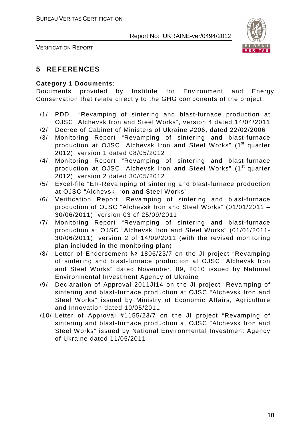

VERIFICATION REPORT

# **5 REFERENCES**

#### **Category 1 Documents:**

Documents provided by Institute for Environment and Energy Conservation that relate directly to the GHG components of the project.

- /1/ PDD "Revamping of sintering and blast-furnace production at OJSC "Alchevsk Iron and Steel Works", version 4 dated 14/04/2011
- /2/ Decree of Cabinet of Ministers of Ukraine #206, dated 22/02/2006
- /3/ Monitoring Report "Revamping of sintering and blast-furnace production at OJSC "Alchevsk Iron and Steel Works" (1<sup>st</sup> quarter 2012), version 1 dated 08/05/2012
- /4/ Monitoring Report "Revamping of sintering and blast-furnace production at OJSC "Alchevsk Iron and Steel Works" (1<sup>st</sup> quarter 2012), version 2 dated 30/05/2012
- /5/ Excel-file "ER-Revamping of sintering and blast-furnace production at OJSC "Alchevsk Iron and Steel Works"
- /6/ Verification Report "Revamping of sintering and blast-furnace production of OJSC "Alchevsk Iron and Steel Works" (01/01/2011 – 30/06/2011), version 03 of 25/09/2011
- /7/ Monitoring Report "Revamping of sintering and blast-furnace production at OJSC "Alchevsk Iron and Steel Works" (01/01/2011- 30/06/2011), version 2 of 14/09/2011 (with the revised monitoring plan included in the monitoring plan)
- /8/ Letter of Endorsement № 1806/23/7 on the JI project "Revamping of sintering and blast-furnace production at OJSC "Alchevsk Iron and Steel Works" dated November, 09, 2010 issued by National Environmental Investment Agency of Ukraine
- /9/ Declaration of Approval 2011JI14 on the JI project "Revamping of sintering and blast-furnace production at OJSC "Alchevsk Iron and Steel Works" issued by Ministry of Economic Affairs, Agriculture and Innovation dated 10/05/2011
- /10/ Letter of Approval #1155/23/7 on the JI project "Revamping of sintering and blast-furnace production at OJSC "Alchevsk Iron and Steel Works" issued by National Environmental Investment Agency of Ukraine dated 11/05/2011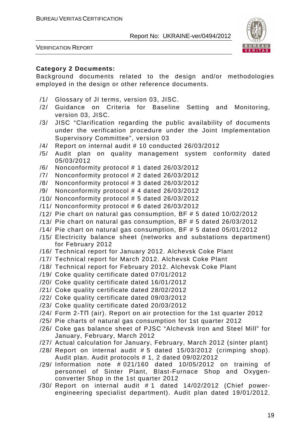

VERIFICATION REPORT

#### **Category 2 Documents:**

Background documents related to the design and/or methodologies employed in the design or other reference documents.

- /1/ Glossary of JI terms, version 03, JISC.
- /2/ Guidance on Criteria for Baseline Setting and Monitoring, version 03, JISC.
- /3/ JISC "Clarification regarding the public availability of documents under the verification procedure under the Joint Implementation Supervisory Committee", version 03
- /4/ Report on internal audit # 10 conducted 26/03/2012
- /5/ Audit plan on quality management system conformity dated 05/03/2012
- /6/ Nonconformity protocol # 1 dated 26/03/2012
- /7/ Nonconformity protocol # 2 dated 26/03/2012
- /8/ Nonconformity protocol # 3 dated 26/03/2012
- /9/ Nonconformity protocol # 4 dated 26/03/2012
- /10/ Nonconformity protocol # 5 dated 26/03/2012
- /11/ Nonconformity protocol # 6 dated 26/03/2012
- /12/ Pie chart on natural gas consumption, BF # 5 dated 10/02/2012
- /13/ Pie chart on natural gas consumption, BF # 5 dated 26/03/2012
- /14/ Pie chart on natural gas consumption, BF # 5 dated 05/01/2012
- /15/ Electricity balance sheet (networks and substations department) for February 2012
- /16/ Technical report for January 2012. Alchevsk Coke Plant
- /17/ Technical report for March 2012. Alchevsk Coke Plant
- /18/ Technical report for February 2012. Alchevsk Coke Plant
- /19/ Coke quality certificate dated 07/01/2012
- /20/ Coke quality certificate dated 16/01/2012
- /21/ Coke quality certificate dated 28/02/2012
- /22/ Coke quality certificate dated 09/03/2012
- /23/ Coke quality certificate dated 20/03/2012
- /24/ Form 2-ТП (air). Report on air protection for the 1st quarter 2012
- /25/ Pie charts of natural gas consumption for 1st quarter 2012
- /26/ Coke gas balance sheet of PJSC "Alchevsk Iron and Steel Mill" for January, February, March 2012
- /27/ Actual calculation for January, February, March 2012 (sinter plant)
- /28/ Report on internal audit # 5 dated 15/03/2012 (crimping shop). Audit plan. Audit protocols # 1, 2 dated 09/02/2012
- /29/ Information note # 021/160 dated 10/05/2012 on training of personnel of Sinter Plant, Blast-Furnace Shop and Oxygenconverter Shop in the 1st quarter 2012
- /30/ Report on internal audit # 1 dated 14/02/2012 (Chief powerengineering specialist department). Audit plan dated 19/01/2012.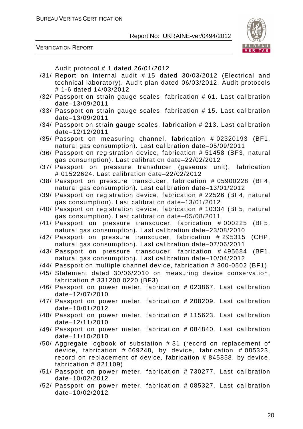



Audit protocol # 1 dated 26/01/2012

- /31/ Report on internal audit # 15 dated 30/03/2012 (Electrical and technical laboratory). Audit plan dated 06/03/2012. Audit protocols # 1-6 dated 14/03/2012
- /32/ Passport on strain gauge scales, fabrication # 61. Last calibration date–13/09/2011
- /33/ Passport on strain gauge scales, fabrication # 15. Last calibration date–13/09/2011
- /34/ Passport on strain gauge scales, fabrication # 213. Last calibration date–12/12/2011
- /35/ Passport on measuring channel, fabrication # 02320193 (BF1, natural gas consumption). Last calibration date–05/09/2011
- /36/ Passport on registration device, fabrication # 51458 (BF3, natural gas consumption). Last calibration date–22/02/2012
- /37/ Passport on pressure transducer (gaseous unit), fabrication # 01522624. Last calibration date–22/02/2012
- /38/ Passport on pressure transducer, fabrication # 05900228 (BF4, natural gas consumption). Last calibration date–13/01/2012
- /39/ Passport on registration device, fabrication # 22526 (BF4, natural gas consumption). Last calibration date–13/01/2012
- /40/ Passport on registration device, fabrication # 10334 (BF5, natural gas consumption). Last calibration date–05/08/2011
- /41/ Passport on pressure transducer, fabrication # 000225 (BF5, natural gas consumption). Last calibration date–23/08/2010
- /42/ Passport on pressure transducer, fabrication # 295315 (CHP, natural gas consumption). Last calibration date–07/06/2011
- /43/ Passport on pressure transducer, fabrication # 495684 (BF1, natural gas consumption). Last calibration date–10/04/2012
- /44/ Passport on multiple channel device, fabrication # 300-0502 (BF1)
- /45/ Statement dated 30/06/2010 on measuring device conservation, fabrication # 331200 0220 (BF3)
- /46/ Passport on power meter, fabrication # 023867. Last calibration date–12/07/2010
- /47/ Passport on power meter, fabrication # 208209. Last calibration date–10/01/2012
- /48/ Passport on power meter, fabrication # 115623. Last calibration date–12/11/2010
- /49/ Passport on power meter, fabrication # 084840. Last calibration date–11/10/2010
- /50/ Aggregate logbook of substation # 31 (record on replacement of device, fabrication  $#669248$ , by device, fabrication  $#085323$ , record on replacement of device, fabrication # 845858, by device, fabrication # 821109)
- /51/ Passport on power meter, fabrication # 730277. Last calibration date–10/02/2012
- /52/ Passport on power meter, fabrication # 085327. Last calibration date–10/02/2012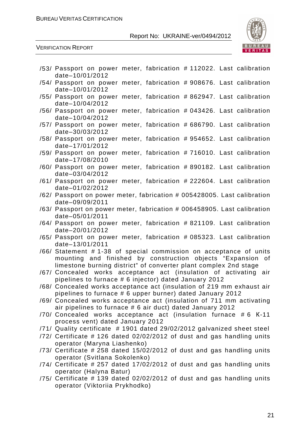

#### VERIFICATION REPORT

| /53/ Passport on power meter, fabrication # 112022. Last calibration                                                                                                                                 |  |
|------------------------------------------------------------------------------------------------------------------------------------------------------------------------------------------------------|--|
| date-10/01/2012                                                                                                                                                                                      |  |
| /54/ Passport on power meter, fabrication # 908676. Last calibration<br>date-10/01/2012                                                                                                              |  |
| /55/ Passport on power meter, fabrication # 862947. Last calibration<br>date-10/04/2012                                                                                                              |  |
| /56/ Passport on power meter, fabrication # 043426. Last calibration                                                                                                                                 |  |
| date-10/04/2012<br>/57/ Passport on power meter, fabrication # 686790. Last calibration                                                                                                              |  |
| date-30/03/2012<br>/58/ Passport on power meter, fabrication # 954652. Last calibration                                                                                                              |  |
| date-17/01/2012<br>/59/ Passport on power meter, fabrication #716010. Last calibration                                                                                                               |  |
| date-17/08/2010<br>/60/ Passport on power meter, fabrication # 890182. Last calibration                                                                                                              |  |
| date-03/04/2012<br>/61/ Passport on power meter, fabrication # 222604. Last calibration                                                                                                              |  |
| date-01/02/2012<br>/62/ Passport on power meter, fabrication # 005428005. Last calibration                                                                                                           |  |
| date-09/09/2011<br>/63/ Passport on power meter, fabrication # 006458905. Last calibration                                                                                                           |  |
| date-05/01/2011                                                                                                                                                                                      |  |
| /64/ Passport on power meter, fabrication # 821109. Last calibration<br>date-20/01/2012                                                                                                              |  |
| /65/ Passport on power meter, fabrication # 085323. Last calibration<br>date-13/01/2011                                                                                                              |  |
| /66/ Statement #1-38 of special commission on acceptance of units<br>mounting and finished by construction objects "Expansion of<br>limestone burning district" of converter plant complex 2nd stage |  |
| /67/ Concealed works acceptance act (insulation of activating air<br>pipelines to furnace # 6 injector) dated January 2012                                                                           |  |
| /68/ Concealed works acceptance act (insulation of 219 mm exhaust air<br>pipelines to furnace # 6 upper burner) dated January 2012                                                                   |  |
| /69/ Concealed works acceptance act (insulation of 711 mm activating<br>air pipelines to furnace # 6 air duct) dated January 2012                                                                    |  |
| /70/ Concealed works acceptance act (insulation furnace #6 K-11<br>process vent) dated January 2012                                                                                                  |  |
| /71/ Quality certificate # 1901 dated 29/02/2012 galvanized sheet steel                                                                                                                              |  |
| /72/ Certificate # 126 dated 02/02/2012 of dust and gas handling units<br>operator (Maryna Liashenko)                                                                                                |  |
| /73/ Certificate # 258 dated 15/02/2012 of dust and gas handling units<br>operator (Svitlana Sokolenko)                                                                                              |  |
| /74/ Certificate # 257 dated 17/02/2012 of dust and gas handling units                                                                                                                               |  |
| operator (Halyna Batur)<br>/75/ Certificate #139 dated 02/02/2012 of dust and gas handling units                                                                                                     |  |
| operator (Viktoriia Prykhodko)                                                                                                                                                                       |  |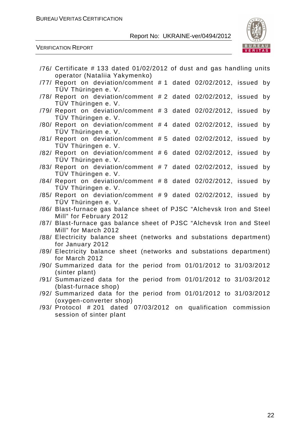

VERIFICATION REPORT

| /76/ Certificate #133 dated 01/02/2012 of dust and gas handling units                                                      |
|----------------------------------------------------------------------------------------------------------------------------|
| operator (Nataliia Yakymenko)<br>/77/ Report on deviation/comment #1 dated 02/02/2012, issued<br>by<br>TÜV Thüringen e. V. |
| /78/ Report on deviation/comment #2 dated 02/02/2012, issued<br>by<br>TÜV Thüringen e. V.                                  |
| /79/ Report on deviation/comment #3 dated 02/02/2012, issued by<br>TÜV Thüringen e. V.                                     |
| /80/ Report on deviation/comment #4 dated 02/02/2012, issued by<br>TÜV Thüringen e. V.                                     |
| /81/ Report on deviation/comment #5 dated 02/02/2012, issued<br>by<br>TÜV Thüringen e. V.                                  |
| /82/ Report on deviation/comment #6 dated 02/02/2012, issued<br>by<br>TÜV Thüringen e. V.                                  |
| /83/ Report on deviation/comment #7 dated 02/02/2012, issued<br>by<br>TÜV Thüringen e. V.                                  |
| /84/ Report on deviation/comment #8 dated 02/02/2012, issued<br>by<br>TÜV Thüringen e. V.                                  |
| /85/ Report on deviation/comment #9 dated 02/02/2012, issued by<br>TÜV Thüringen e. V.                                     |
| /86/ Blast-furnace gas balance sheet of PJSC "Alchevsk Iron and Steel<br>Mill" for February 2012                           |
| /87/ Blast-furnace gas balance sheet of PJSC "Alchevsk Iron and Steel<br>Mill" for March 2012                              |
| /88/ Electricity balance sheet (networks and substations department)<br>for January 2012                                   |
| /89/ Electricity balance sheet (networks and substations department)<br>for March 2012                                     |
| /90/ Summarized data for the period from 01/01/2012 to 31/03/2012<br>(sinter plant)                                        |
| /91/ Summarized data for the period from 01/01/2012 to 31/03/2012<br>(blast-furnace shop)                                  |
| /92/ Summarized data for the period from 01/01/2012 to 31/03/2012<br>(oxygen-converter shop)                               |
| /93/ Protocol # 201 dated 07/03/2012 on qualification commission<br>session of sinter plant                                |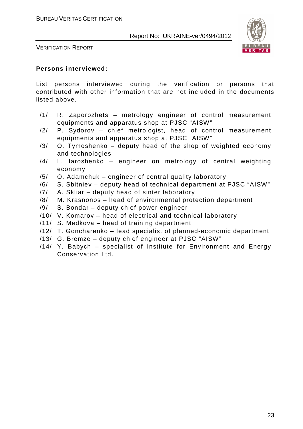

VERIFICATION REPORT

#### **Persons interviewed:**

List persons interviewed during the verification or persons that contributed with other information that are not included in the documents listed above.

- /1/ R. Zaporozhets metrology engineer of control measurement equipments and apparatus shop at PJSC "AISW"
- /2/ P. Sydorov chief metrologist, head of control measurement equipments and apparatus shop at PJSC "AISW"
- $/3/$  O. Tymoshenko deputy head of the shop of weighted economy and technologies
- /4/ L. Iaroshenko engineer on metrology of central weighting economy
- /5/ O. Adamchuk engineer of central quality laboratory
- /6/ S. Sbitniev deputy head of technical department at PJSC "AISW"
- /7/ A. Skliar deputy head of sinter laboratory
- /8/ M. Krasnonos head of environmental protection department
- /9/ S. Bondar deputy chief power engineer
- /10/ V. Komarov head of electrical and technical laboratory
- /11/ S. Medkova head of training department
- /12/ T. Goncharenko lead specialist of planned-economic department
- /13/ G. Bremze deputy chief engineer at PJSC "AISW"
- /14/ Y. Babych specialist of Institute for Environment and Energy Conservation Ltd.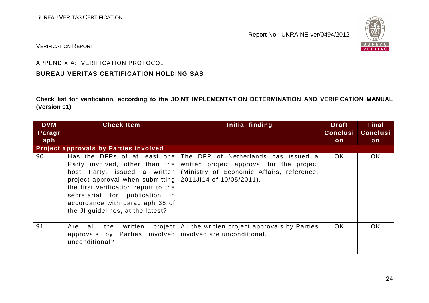

#### VERIFICATION REPORT

#### APPENDIX A: VERIFICATION PROTOCOL

### **BUREAU VERITAS CERTIFICATION HOLDING SAS**

**Check list for verification, according to the JOINT IMPLEMENTATION DETERMINATION AND VERIFICATION MANUAL (Version 01)** 

| <b>DVM</b> | <b>Check Item</b>                                                                                                                                                                                                   | Initial finding                                                                                                                                                                                                       | <b>Draft</b>    | <b>Final</b>    |
|------------|---------------------------------------------------------------------------------------------------------------------------------------------------------------------------------------------------------------------|-----------------------------------------------------------------------------------------------------------------------------------------------------------------------------------------------------------------------|-----------------|-----------------|
| Paragr     |                                                                                                                                                                                                                     |                                                                                                                                                                                                                       | <b>Conclusi</b> | <b>Conclusi</b> |
| aph        |                                                                                                                                                                                                                     |                                                                                                                                                                                                                       | on              | on              |
|            | <b>Project approvals by Parties involved</b>                                                                                                                                                                        |                                                                                                                                                                                                                       |                 |                 |
| 90         | project approval when submitting $\vert$ 2011JI14 of 10/05/2011).<br>the first verification report to the<br>secretariat for publication in<br>accordance with paragraph 38 of<br>the JI guidelines, at the latest? | Has the DFPs of at least one The DFP of Netherlands has issued a<br>Party involved, other than the written project approval for the project<br>host Party, issued a written (Ministry of Economic Affairs, reference: | OK.             | <b>OK</b>       |
| 91         | project  <br>Are<br>all<br>the<br>written<br>approvals by Parties involved involved are unconditional.<br>unconditional?                                                                                            | All the written project approvals by Parties                                                                                                                                                                          | OK.             | <b>OK</b>       |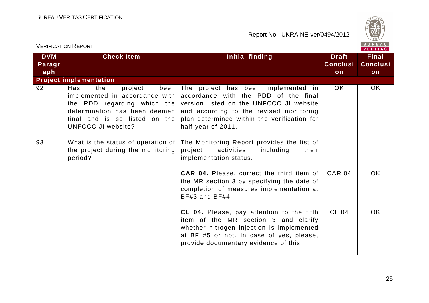

| <b>VERIFICATION REPORT</b>  |                                                                                                                                                                                            |                                                                                                                                                                                                                                        | BUREAU<br><b>VERITAS</b>              |                                       |
|-----------------------------|--------------------------------------------------------------------------------------------------------------------------------------------------------------------------------------------|----------------------------------------------------------------------------------------------------------------------------------------------------------------------------------------------------------------------------------------|---------------------------------------|---------------------------------------|
| <b>DVM</b><br>Paragr<br>aph | <b>Check Item</b>                                                                                                                                                                          | <b>Initial finding</b>                                                                                                                                                                                                                 | <b>Draft</b><br><b>Conclusi</b><br>on | <b>Final</b><br><b>Conclusi</b><br>on |
|                             | <b>Project implementation</b>                                                                                                                                                              |                                                                                                                                                                                                                                        |                                       |                                       |
| 92                          | Has<br>been<br>the<br>project<br>implemented in accordance with $ $<br>the PDD regarding which the<br>determination has been deemed<br>final and is so listed on the<br>UNFCCC JI website? | The project has been implemented in<br>accordance with the PDD of the final<br>version listed on the UNFCCC JI website<br>and according to the revised monitoring<br>plan determined within the verification for<br>half-year of 2011. | OK.                                   | OK.                                   |
| 93                          | What is the status of operation of<br>the project during the monitoring<br>period?                                                                                                         | The Monitoring Report provides the list of<br>project<br>activities<br>including<br>their<br>implementation status.                                                                                                                    |                                       |                                       |
|                             |                                                                                                                                                                                            | <b>CAR 04.</b> Please, correct the third item of<br>the MR section 3 by specifying the date of<br>completion of measures implementation at<br>BF#3 and BF#4.                                                                           | <b>CAR 04</b>                         | OK.                                   |
|                             |                                                                                                                                                                                            | CL 04. Please, pay attention to the fifth<br>item of the MR section 3 and clarify<br>whether nitrogen injection is implemented<br>at BF #5 or not. In case of yes, please,<br>provide documentary evidence of this.                    | <b>CL 04</b>                          | OK.                                   |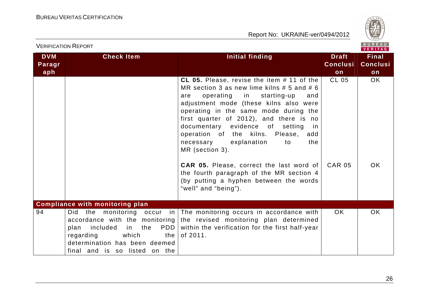

| V E R I T A S               |                                                                                                                                                                                      |                                                                                                                                                                                                                                                                                                                                                                                                                                                                                                                                                                                           |                                       |                                       |
|-----------------------------|--------------------------------------------------------------------------------------------------------------------------------------------------------------------------------------|-------------------------------------------------------------------------------------------------------------------------------------------------------------------------------------------------------------------------------------------------------------------------------------------------------------------------------------------------------------------------------------------------------------------------------------------------------------------------------------------------------------------------------------------------------------------------------------------|---------------------------------------|---------------------------------------|
| <b>DVM</b><br>Paragr<br>aph | <b>Check Item</b>                                                                                                                                                                    | Initial finding                                                                                                                                                                                                                                                                                                                                                                                                                                                                                                                                                                           | <b>Draft</b><br><b>Conclusi</b><br>on | <b>Final</b><br><b>Conclusi</b><br>on |
|                             |                                                                                                                                                                                      | <b>CL 05.</b> Please, revise the item # 11 of the<br>MR section 3 as new lime kilns $# 5$ and $# 6$<br>operating in starting-up<br>and<br>are<br>adjustment mode (these kilns also were<br>operating in the same mode during the<br>first quarter of 2012), and there is no<br>documentary evidence of setting<br>in.<br>operation of the kilns. Please,<br>add<br>necessary explanation<br>the<br>to<br>MR (section 3).<br><b>CAR 05.</b> Please, correct the last word of<br>the fourth paragraph of the MR section 4<br>(by putting a hyphen between the words<br>"well" and "being"). | <b>CL 05</b><br><b>CAR 05</b>         | OK.<br>OK.                            |
|                             | <b>Compliance with monitoring plan</b>                                                                                                                                               |                                                                                                                                                                                                                                                                                                                                                                                                                                                                                                                                                                                           |                                       |                                       |
| 94                          | Did<br>the<br>accordance with the monitoring  <br>PDD  <br>included in<br>the<br>plan<br>which<br>regarding<br>the<br>determination has been deemed<br>final and is so listed on the | monitoring occur in The monitoring occurs in accordance with<br>the revised monitoring plan determined<br>within the verification for the first half-year<br>of 2011.                                                                                                                                                                                                                                                                                                                                                                                                                     | OK.                                   | OK.                                   |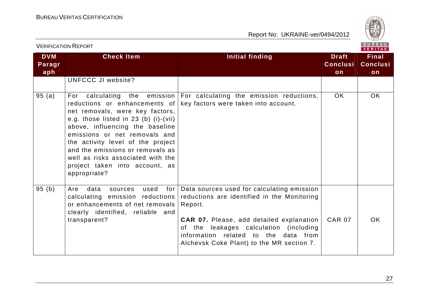

| <u>VLINII IUATIUIVTINEEUINT</u><br>VERITAS |                                                                                                                                                                                                                                                                                                                                                 |                                                                                                                                                                                                                                                                                        |                                       |                                       |
|--------------------------------------------|-------------------------------------------------------------------------------------------------------------------------------------------------------------------------------------------------------------------------------------------------------------------------------------------------------------------------------------------------|----------------------------------------------------------------------------------------------------------------------------------------------------------------------------------------------------------------------------------------------------------------------------------------|---------------------------------------|---------------------------------------|
| <b>DVM</b><br>Paragr<br>aph                | <b>Check Item</b>                                                                                                                                                                                                                                                                                                                               | Initial finding                                                                                                                                                                                                                                                                        | <b>Draft</b><br><b>Conclusi</b><br>on | <b>Final</b><br><b>Conclusi</b><br>on |
|                                            | UNFCCC JI website?                                                                                                                                                                                                                                                                                                                              |                                                                                                                                                                                                                                                                                        |                                       |                                       |
| 95(a)                                      | reductions or enhancements of<br>net removals, were key factors,<br>e.g. those listed in 23 (b) $(i)-(vii)$<br>above, influencing the baseline<br>emissions or net removals and<br>the activity level of the project<br>and the emissions or removals as<br>well as risks associated with the<br>project taken into account, as<br>appropriate? | For calculating the emission For calculating the emission reductions,<br>key factors were taken into account.                                                                                                                                                                          | <b>OK</b>                             | OK                                    |
| 95 (b)                                     | data<br>used<br>for<br>Are<br>sources<br>calculating emission reductions<br>or enhancements of net removals<br>clearly identified, reliable and<br>transparent?                                                                                                                                                                                 | Data sources used for calculating emission<br>reductions are identified in the Monitoring<br>Report.<br><b>CAR 07.</b> Please, add detailed explanation<br>of the leakages calculation (including<br>information related to the data from<br>Alchevsk Coke Plant) to the MR section 7. | <b>CAR 07</b>                         | <b>OK</b>                             |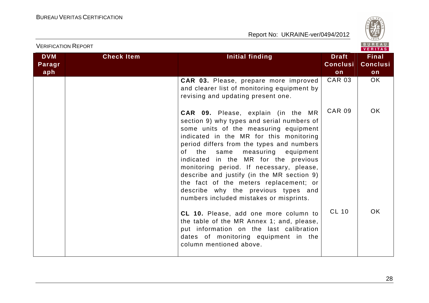



| <b>VERIFICATION REPORT</b> |                   |                                                                                                                                                                                                                                                                                                                                                                                                                                                                                                                                 |                                 | BUREAU<br><b>VERITAS</b>        |
|----------------------------|-------------------|---------------------------------------------------------------------------------------------------------------------------------------------------------------------------------------------------------------------------------------------------------------------------------------------------------------------------------------------------------------------------------------------------------------------------------------------------------------------------------------------------------------------------------|---------------------------------|---------------------------------|
| <b>DVM</b><br>Paragr       | <b>Check Item</b> | <b>Initial finding</b>                                                                                                                                                                                                                                                                                                                                                                                                                                                                                                          | <b>Draft</b><br><b>Conclusi</b> | <b>Final</b><br><b>Conclusi</b> |
| aph                        |                   |                                                                                                                                                                                                                                                                                                                                                                                                                                                                                                                                 | on                              | on                              |
|                            |                   | CAR 03. Please, prepare more improved<br>and clearer list of monitoring equipment by<br>revising and updating present one.                                                                                                                                                                                                                                                                                                                                                                                                      | <b>CAR 03</b>                   | <b>OK</b>                       |
|                            |                   | <b>CAR 09.</b> Please, explain (in the MR<br>section 9) why types and serial numbers of<br>some units of the measuring equipment<br>indicated in the MR for this monitoring<br>period differs from the types and numbers<br>of the<br>measuring equipment<br>same<br>indicated in the MR for the previous<br>monitoring period. If necessary, please,<br>describe and justify (in the MR section 9)<br>the fact of the meters replacement; or<br>describe why the previous types and<br>numbers included mistakes or misprints. | <b>CAR 09</b>                   | OK.                             |
|                            |                   | CL 10. Please, add one more column to<br>the table of the MR Annex 1; and, please,<br>put information on the last calibration<br>dates of monitoring equipment in the<br>column mentioned above.                                                                                                                                                                                                                                                                                                                                | <b>CL 10</b>                    | OK.                             |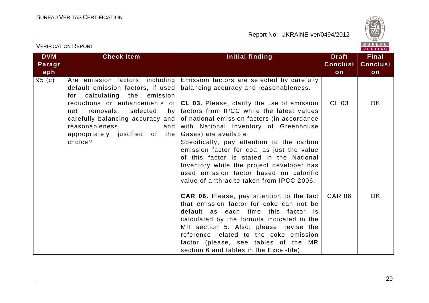

| <b>VERIFICATION REPORT</b>  |                                                                                                                                                                                                                                                                        |                                                                                                                                                                                                                                                                                                                                                                                                                                                                                                                                                                                                               | BUREAU<br><b>VERITAS</b>              |                                       |
|-----------------------------|------------------------------------------------------------------------------------------------------------------------------------------------------------------------------------------------------------------------------------------------------------------------|---------------------------------------------------------------------------------------------------------------------------------------------------------------------------------------------------------------------------------------------------------------------------------------------------------------------------------------------------------------------------------------------------------------------------------------------------------------------------------------------------------------------------------------------------------------------------------------------------------------|---------------------------------------|---------------------------------------|
| <b>DVM</b><br>Paragr<br>aph | <b>Check Item</b>                                                                                                                                                                                                                                                      | <b>Initial finding</b>                                                                                                                                                                                                                                                                                                                                                                                                                                                                                                                                                                                        | <b>Draft</b><br><b>Conclusi</b><br>on | <b>Final</b><br><b>Conclusi</b><br>on |
| 95 (c)                      | Are emission factors, including<br>default emission factors, if used<br>for calculating the emission<br>selected<br>removals,<br>by <sub>l</sub><br>net<br>carefully balancing accuracy and  <br>reasonableness,<br>and  <br>appropriately justified of the<br>choice? | Emission factors are selected by carefully<br>balancing accuracy and reasonableness.<br>reductions or enhancements of $ CL 03.$ Please, clarify the use of emission<br>factors from IPCC while the latest values<br>of national emission factors (in accordance<br>with National Inventory of Greenhouse<br>Gases) are available.<br>Specifically, pay attention to the carbon<br>emission factor for coal as just the value<br>of this factor is stated in the National<br>Inventory while the project developer has<br>used emission factor based on calorific<br>value of anthracite taken from IPCC 2006. | CL 03                                 | OK.                                   |
|                             |                                                                                                                                                                                                                                                                        | <b>CAR 06.</b> Please, pay attention to the fact<br>that emission factor for coke can not be<br>default as each time this factor is<br>calculated by the formula indicated in the<br>MR section 5. Also, please, revise the<br>reference related to the coke emission<br>factor (please, see tables of the MR<br>section 6 and tables in the Excel-file).                                                                                                                                                                                                                                                     | <b>CAR 06</b>                         | OK.                                   |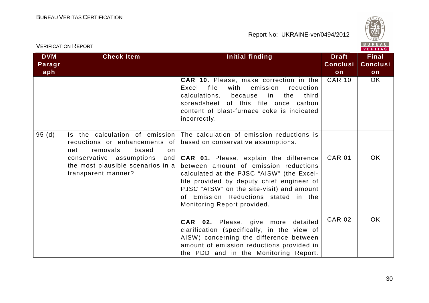

|                             |                                                                                                                        |                                                                                                                                                                                                                                                                                                                                                                                                                                                     |                                       | VERITAS                               |
|-----------------------------|------------------------------------------------------------------------------------------------------------------------|-----------------------------------------------------------------------------------------------------------------------------------------------------------------------------------------------------------------------------------------------------------------------------------------------------------------------------------------------------------------------------------------------------------------------------------------------------|---------------------------------------|---------------------------------------|
| <b>DVM</b><br>Paragr<br>aph | <b>Check Item</b>                                                                                                      | Initial finding                                                                                                                                                                                                                                                                                                                                                                                                                                     | <b>Draft</b><br><b>Conclusi</b><br>on | <b>Final</b><br><b>Conclusi</b><br>on |
|                             |                                                                                                                        | <b>CAR 10.</b> Please, make correction in the<br>file<br>with<br>emission<br>Excel<br>reduction<br>calculations, because<br>in<br>the<br>third<br>spreadsheet of this file once carbon<br>content of blast-furnace coke is indicated<br>incorrectly.                                                                                                                                                                                                | <b>CAR 10</b>                         | OK.                                   |
| 95(d)                       | removals<br>based<br>net<br>on<br>conservative assumptions<br>the most plausible scenarios in a<br>transparent manner? | Is the calculation of emission The calculation of emission reductions is<br>reductions or enhancements of based on conservative assumptions.<br>and $CAR$ 01. Please, explain the difference<br>between amount of emission reductions<br>calculated at the PJSC "AISW" (the Excel-<br>file provided by deputy chief engineer of<br>PJSC "AISW" on the site-visit) and amount<br>of Emission Reductions stated in the<br>Monitoring Report provided. | <b>CAR 01</b>                         | OK.                                   |
|                             |                                                                                                                        | CAR 02. Please, give more detailed<br>clarification (specifically, in the view of<br>AISW) concerning the difference between<br>amount of emission reductions provided in<br>the PDD and in the Monitoring Report.                                                                                                                                                                                                                                  | <b>CAR 02</b>                         | OK.                                   |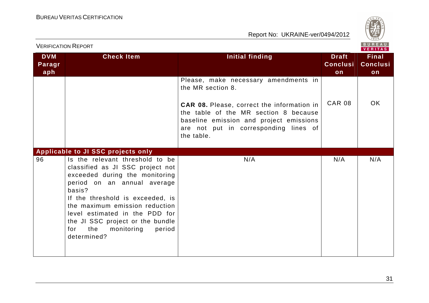



| <b>VERIFICATION REPORT</b>  |                                                                                                                                                                                                                                                                                                                                                 |                                                                                                                                                                                                                                                           | BUREAU<br><b>VERITAS</b>              |                                       |
|-----------------------------|-------------------------------------------------------------------------------------------------------------------------------------------------------------------------------------------------------------------------------------------------------------------------------------------------------------------------------------------------|-----------------------------------------------------------------------------------------------------------------------------------------------------------------------------------------------------------------------------------------------------------|---------------------------------------|---------------------------------------|
| <b>DVM</b><br>Paragr<br>aph | <b>Check Item</b>                                                                                                                                                                                                                                                                                                                               | Initial finding                                                                                                                                                                                                                                           | <b>Draft</b><br><b>Conclusi</b><br>on | <b>Final</b><br><b>Conclusi</b><br>on |
|                             |                                                                                                                                                                                                                                                                                                                                                 | Please, make necessary amendments in<br>the MR section 8.<br><b>CAR 08.</b> Please, correct the information in<br>the table of the MR section 8 because<br>baseline emission and project emissions<br>are not put in corresponding lines of<br>the table. | <b>CAR 08</b>                         | OK.                                   |
|                             | <b>Applicable to JI SSC projects only</b>                                                                                                                                                                                                                                                                                                       |                                                                                                                                                                                                                                                           |                                       |                                       |
| 96                          | Is the relevant threshold to be<br>classified as JI SSC project not<br>exceeded during the monitoring<br>period on an annual average<br>basis?<br>If the threshold is exceeded, is<br>the maximum emission reduction<br>level estimated in the PDD for<br>the JI SSC project or the bundle<br>the<br>monitoring<br>period<br>for<br>determined? | N/A                                                                                                                                                                                                                                                       | N/A                                   | N/A                                   |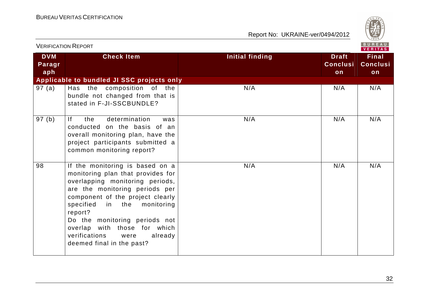

| <b>VERIFICATION REPORT</b>  |                                                                                                                                                                                                                                                                                                                                                                 |                        |                                       | <b>BUREAU</b><br><b>VERITAS</b>       |
|-----------------------------|-----------------------------------------------------------------------------------------------------------------------------------------------------------------------------------------------------------------------------------------------------------------------------------------------------------------------------------------------------------------|------------------------|---------------------------------------|---------------------------------------|
| <b>DVM</b><br>Paragr<br>aph | <b>Check Item</b>                                                                                                                                                                                                                                                                                                                                               | <b>Initial finding</b> | <b>Draft</b><br><b>Conclusi</b><br>on | <b>Final</b><br><b>Conclusi</b><br>on |
|                             | Applicable to bundled JI SSC projects only                                                                                                                                                                                                                                                                                                                      |                        |                                       |                                       |
| 97(a)                       | Has the composition of the<br>bundle not changed from that is<br>stated in F-JI-SSCBUNDLE?                                                                                                                                                                                                                                                                      | N/A                    | N/A                                   | N/A                                   |
| 97(b)                       | determination<br> f <br>the<br>was<br>conducted on the basis of an<br>overall monitoring plan, have the<br>project participants submitted a<br>common monitoring report?                                                                                                                                                                                        | N/A                    | N/A                                   | N/A                                   |
| 98                          | If the monitoring is based on a<br>monitoring plan that provides for<br>overlapping monitoring periods,<br>are the monitoring periods per<br>component of the project clearly<br>specified<br>in the<br>monitoring<br>report?<br>Do the monitoring periods not<br>overlap with those for which<br>verifications<br>were<br>already<br>deemed final in the past? | N/A                    | N/A                                   | N/A                                   |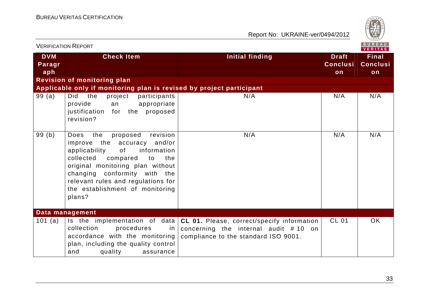

| <b>VERIFICATION REPORT</b>  |                                                                                                                                                                                                                                                                                                              | B U R E A U<br><b>VERITAS</b>                                                                                                                                  |                                       |                                       |
|-----------------------------|--------------------------------------------------------------------------------------------------------------------------------------------------------------------------------------------------------------------------------------------------------------------------------------------------------------|----------------------------------------------------------------------------------------------------------------------------------------------------------------|---------------------------------------|---------------------------------------|
| <b>DVM</b><br>Paragr<br>aph | <b>Check Item</b>                                                                                                                                                                                                                                                                                            | <b>Initial finding</b>                                                                                                                                         | <b>Draft</b><br><b>Conclusi</b><br>on | <b>Final</b><br><b>Conclusi</b><br>on |
|                             | <b>Revision of monitoring plan</b>                                                                                                                                                                                                                                                                           |                                                                                                                                                                |                                       |                                       |
|                             | Applicable only if monitoring plan is revised by project participant                                                                                                                                                                                                                                         |                                                                                                                                                                |                                       |                                       |
| 99(a)                       | the<br>Did<br>project<br>participants<br>appropriate<br>provide<br>an<br>the proposed<br>justification<br>for<br>revision?                                                                                                                                                                                   | N/A                                                                                                                                                            | N/A                                   | N/A                                   |
| 99(b)                       | revision<br>proposed<br><b>Does</b><br>the<br>improve the accuracy and/or<br>of<br>information<br>applicability<br>collected<br>compared<br>the<br>to<br>original monitoring plan without<br>changing conformity with the<br>relevant rules and regulations for<br>the establishment of monitoring<br>plans? | N/A                                                                                                                                                            | N/A                                   | N/A                                   |
|                             | Data management                                                                                                                                                                                                                                                                                              |                                                                                                                                                                |                                       |                                       |
| 101 (a)                     | collection<br>procedures<br>in l<br>accordance with the monitoring<br>plan, including the quality control<br>quality<br>and<br>assurance                                                                                                                                                                     | Is the implementation of data $ CL 01.$ Please, correct/specify information<br>concerning the internal audit $# 10$ on<br>compliance to the standard ISO 9001. | <b>CL 01</b>                          | OK                                    |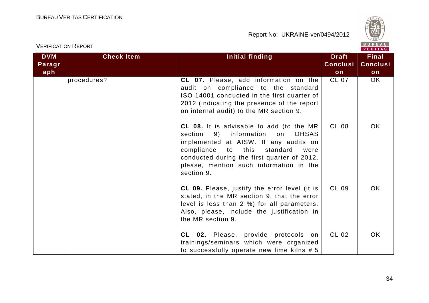

|                             |                   | VERITAS                                                                                                                                                                                                                                                                                      |                                       |                                       |
|-----------------------------|-------------------|----------------------------------------------------------------------------------------------------------------------------------------------------------------------------------------------------------------------------------------------------------------------------------------------|---------------------------------------|---------------------------------------|
| <b>DVM</b><br>Paragr<br>aph | <b>Check Item</b> | <b>Initial finding</b>                                                                                                                                                                                                                                                                       | <b>Draft</b><br><b>Conclusi</b><br>on | <b>Final</b><br><b>Conclusi</b><br>on |
|                             | procedures?       | CL 07. Please, add information on the<br>audit on compliance to the standard<br>ISO 14001 conducted in the first quarter of<br>2012 (indicating the presence of the report<br>on internal audit) to the MR section 9.                                                                        | <b>CL 07</b>                          | OK                                    |
|                             |                   | CL 08. It is advisable to add (to the MR<br>section<br>information<br><b>OHSAS</b><br>9)<br>on<br>implemented at AISW. If any audits on<br>compliance<br>to this<br>standard<br>were<br>conducted during the first quarter of 2012,<br>please, mention such information in the<br>section 9. | <b>CL 08</b>                          | OK.                                   |
|                             |                   | <b>CL 09.</b> Please, justify the error level (it is<br>stated, in the MR section 9, that the error<br>level is less than 2 %) for all parameters.<br>Also, please, include the justification in<br>the MR section 9.                                                                        | <b>CL 09</b>                          | <b>OK</b>                             |
|                             |                   | CL 02. Please, provide protocols on<br>trainings/seminars which were organized<br>to successfully operate new lime kilns # 5                                                                                                                                                                 | <b>CL 02</b>                          | OK.                                   |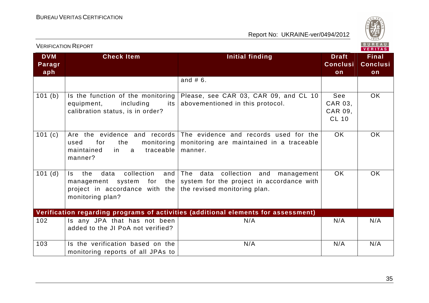

| <b>VERIFICATION REPORT</b>  |                                                                                                                                                      | BUREAU<br>VERITAS                                                                                                                      |                                           |                                       |
|-----------------------------|------------------------------------------------------------------------------------------------------------------------------------------------------|----------------------------------------------------------------------------------------------------------------------------------------|-------------------------------------------|---------------------------------------|
| <b>DVM</b><br>Paragr<br>aph | <b>Check Item</b>                                                                                                                                    | <b>Initial finding</b>                                                                                                                 | <b>Draft</b><br><b>Conclusi</b><br>on     | <b>Final</b><br><b>Conclusi</b><br>on |
|                             |                                                                                                                                                      | and $# 6$ .                                                                                                                            |                                           |                                       |
| 101(b)                      | Is the function of the monitoring<br>including<br>equipment,<br>its  <br>calibration status, is in order?                                            | Please, see CAR 03, CAR 09, and CL 10<br>abovementioned in this protocol.                                                              | See<br>CAR 03,<br>CAR 09,<br><b>CL 10</b> | OK                                    |
| 101(c)                      | the<br>for<br>used<br>in<br>traceable<br>maintained<br>a<br>manner?                                                                                  | Are the evidence and records The evidence and records used for the<br>monitoring   monitoring are maintained in a traceable<br>manner. | <b>OK</b>                                 | <b>OK</b>                             |
| 101(d)                      | collection<br>and<br>data<br>ls l<br>the<br>management system for<br>project in accordance with the the revised monitoring plan.<br>monitoring plan? | The<br>data collection and<br>management<br>the system for the project in accordance with                                              | OK                                        | <b>OK</b>                             |
|                             |                                                                                                                                                      | Verification regarding programs of activities (additional elements for assessment)                                                     |                                           |                                       |
| 102                         | Is any JPA that has not been<br>added to the JI PoA not verified?                                                                                    | N/A                                                                                                                                    | N/A                                       | N/A                                   |
| 103                         | Is the verification based on the<br>monitoring reports of all JPAs to                                                                                | N/A                                                                                                                                    | N/A                                       | N/A                                   |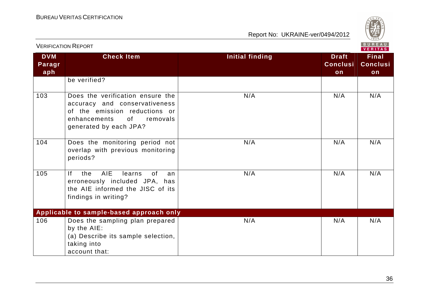

|                             | <b>VERIFICATION REPORT</b>                                                                                                                                       |                        |                                       | BUREAU<br><b>VERITAS</b>              |
|-----------------------------|------------------------------------------------------------------------------------------------------------------------------------------------------------------|------------------------|---------------------------------------|---------------------------------------|
| <b>DVM</b><br>Paragr<br>aph | <b>Check Item</b>                                                                                                                                                | <b>Initial finding</b> | <b>Draft</b><br><b>Conclusi</b><br>on | <b>Final</b><br><b>Conclusi</b><br>on |
|                             | be verified?                                                                                                                                                     |                        |                                       |                                       |
| 103                         | Does the verification ensure the<br>accuracy and conservativeness<br>of the emission reductions or<br>enhancements<br>of _<br>removals<br>generated by each JPA? | N/A                    | N/A                                   | N/A                                   |
| 104                         | Does the monitoring period not<br>overlap with previous monitoring<br>periods?                                                                                   | N/A                    | N/A                                   | N/A                                   |
| 105                         | <b>AIE</b><br> f <br>the<br>learns<br>0f<br>an<br>erroneously included JPA, has<br>the AIE informed the JISC of its<br>findings in writing?                      | N/A                    | N/A                                   | N/A                                   |
|                             | Applicable to sample-based approach only                                                                                                                         |                        |                                       |                                       |
| 106                         | Does the sampling plan prepared<br>by the AIE:<br>(a) Describe its sample selection,<br>taking into<br>account that:                                             | N/A                    | N/A                                   | N/A                                   |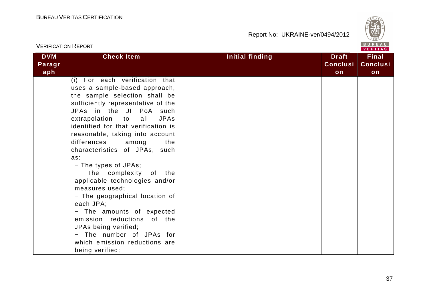

| <b>VERIFICATION REPORT</b>  |                                                                                                                                                                                                                                                                                                                                                                                                                                                                                                                                                                                                                                                                                        |                 |                                       |                                       |  |
|-----------------------------|----------------------------------------------------------------------------------------------------------------------------------------------------------------------------------------------------------------------------------------------------------------------------------------------------------------------------------------------------------------------------------------------------------------------------------------------------------------------------------------------------------------------------------------------------------------------------------------------------------------------------------------------------------------------------------------|-----------------|---------------------------------------|---------------------------------------|--|
| <b>DVM</b><br>Paragr<br>aph | <b>Check Item</b>                                                                                                                                                                                                                                                                                                                                                                                                                                                                                                                                                                                                                                                                      | Initial finding | <b>Draft</b><br><b>Conclusi</b><br>on | <b>Final</b><br><b>Conclusi</b><br>on |  |
|                             | (i) For each verification that<br>uses a sample-based approach,<br>the sample selection shall be<br>sufficiently representative of the<br>JPAs in the JI PoA such<br>extrapolation to<br><b>JPAs</b><br>all<br>identified for that verification is<br>reasonable, taking into account<br>differences<br>among<br>the<br>characteristics of JPAs, such<br>as:<br>- The types of JPAs;<br>The complexity<br>of the<br>applicable technologies and/or<br>measures used;<br>- The geographical location of<br>each JPA;<br>- The amounts of expected<br>emission reductions of the<br>JPAs being verified;<br>- The number of JPAs for<br>which emission reductions are<br>being verified; |                 |                                       |                                       |  |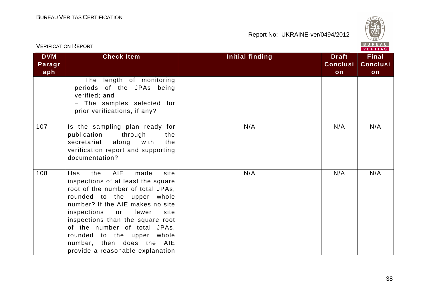

|                             | <b>VERIFICATION REPORT</b>                                                                                                                                                                                                                                                                                                                                                                     | $PU$ $RU$<br><b>VERITAS</b> |                                       |                                       |  |
|-----------------------------|------------------------------------------------------------------------------------------------------------------------------------------------------------------------------------------------------------------------------------------------------------------------------------------------------------------------------------------------------------------------------------------------|-----------------------------|---------------------------------------|---------------------------------------|--|
| <b>DVM</b><br>Paragr<br>aph | <b>Check Item</b>                                                                                                                                                                                                                                                                                                                                                                              | Initial finding             | <b>Draft</b><br><b>Conclusi</b><br>on | <b>Final</b><br><b>Conclusi</b><br>on |  |
|                             | - The length of monitoring<br>periods of the JPAs being<br>verified; and<br>- The samples selected for<br>prior verifications, if any?                                                                                                                                                                                                                                                         |                             |                                       |                                       |  |
| 107                         | Is the sampling plan ready for<br>through<br>publication<br>the<br>secretariat along with<br>the<br>verification report and supporting<br>documentation?                                                                                                                                                                                                                                       | N/A                         | N/A                                   | N/A                                   |  |
| 108                         | <b>AIE</b><br>site<br>Has<br>the<br>made<br>inspections of at least the square<br>root of the number of total JPAs,<br>rounded to the upper whole<br>number? If the AIE makes no site<br>inspections<br>fewer<br>or<br>site<br>inspections than the square root<br>of the number of total JPAs,<br>rounded to the upper whole<br>number, then does the AIE<br>provide a reasonable explanation | N/A                         | N/A                                   | N/A                                   |  |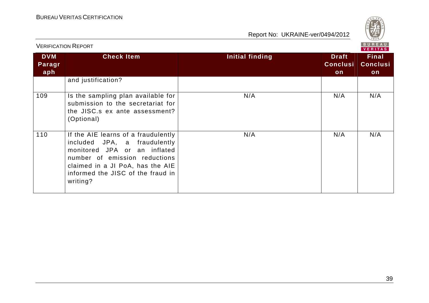

|                             | וייש ושיוטויוטייש וישר                                                                                                                                                                                                    | VERITAS         |                                       |                                       |  |
|-----------------------------|---------------------------------------------------------------------------------------------------------------------------------------------------------------------------------------------------------------------------|-----------------|---------------------------------------|---------------------------------------|--|
| <b>DVM</b><br>Paragr<br>aph | <b>Check Item</b>                                                                                                                                                                                                         | Initial finding | <b>Draft</b><br><b>Conclusi</b><br>on | <b>Final</b><br><b>Conclusi</b><br>on |  |
|                             | and justification?                                                                                                                                                                                                        |                 |                                       |                                       |  |
| 109                         | Is the sampling plan available for<br>submission to the secretariat for<br>the JISC.s ex ante assessment?<br>(Optional)                                                                                                   | N/A             | N/A                                   | N/A                                   |  |
| 110                         | If the AIE learns of a fraudulently<br>included JPA, a fraudulently<br>monitored JPA or an inflated<br>number of emission reductions<br>claimed in a JI PoA, has the AIE<br>informed the JISC of the fraud in<br>writing? | N/A             | N/A                                   | N/A                                   |  |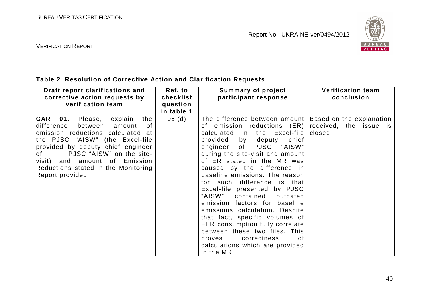

VERIFICATION REPORT

### **Table 2 Resolution of Corrective Action and Clarification Requests**

| Draft report clarifications and<br>corrective action requests by<br>verification team                                                                                                                                                                                                                                                     | Ref. to<br>checklist<br>question<br>in table 1 | <b>Summary of project</b><br>participant response                                                                                                                                                                                                                                                                                                                                                                                                                                                                                                                                                                                                       | <b>Verification team</b><br>conclusion                        |
|-------------------------------------------------------------------------------------------------------------------------------------------------------------------------------------------------------------------------------------------------------------------------------------------------------------------------------------------|------------------------------------------------|---------------------------------------------------------------------------------------------------------------------------------------------------------------------------------------------------------------------------------------------------------------------------------------------------------------------------------------------------------------------------------------------------------------------------------------------------------------------------------------------------------------------------------------------------------------------------------------------------------------------------------------------------------|---------------------------------------------------------------|
| <b>CAR 01.</b> Please, explain<br>the<br>difference<br>between<br>amount<br>0f<br>emission reductions calculated at<br>the PJSC "AISW"<br>(the Excel-file)<br>provided by deputy chief engineer<br>PJSC "AISW" on the site-<br>of the control<br>visit) and amount of Emission<br>Reductions stated in the Monitoring<br>Report provided. | 95(d)                                          | The difference between amount<br>of emission reductions (ER)<br>calculated in the Excel-file<br>provided by deputy<br>chief<br>engineer of<br>PJSC "AISW"<br>during the site-visit and amount<br>of ER stated in the MR was<br>caused by the difference in<br>baseline emissions. The reason<br>for such difference is that<br>Excel-file presented by PJSC<br>"AISW"<br>contained<br>outdated<br>emission factors for baseline<br>emissions calculation. Despite<br>that fact, specific volumes of<br>FER consumption fully correlate<br>between these two files. This<br>correctness<br>proves<br>0f<br>calculations which are provided<br>in the MR. | Based on the explanation<br>received, the issue is<br>closed. |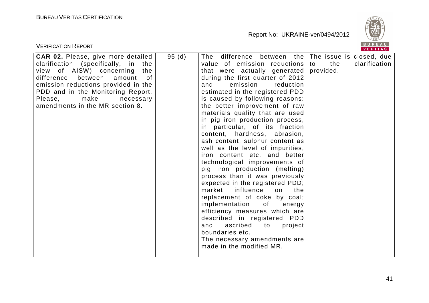

| <b>VERIFICATION REPORT</b>                                                                                                                                                                                                                                                                              |       |                                                                                                                                                                                                                                                                                                                                                                                                                                                                                                                                                                                                                                                                                                                                                                                                                                                                                                                                                                                              | BUREAU<br>VERITAS                 |
|---------------------------------------------------------------------------------------------------------------------------------------------------------------------------------------------------------------------------------------------------------------------------------------------------------|-------|----------------------------------------------------------------------------------------------------------------------------------------------------------------------------------------------------------------------------------------------------------------------------------------------------------------------------------------------------------------------------------------------------------------------------------------------------------------------------------------------------------------------------------------------------------------------------------------------------------------------------------------------------------------------------------------------------------------------------------------------------------------------------------------------------------------------------------------------------------------------------------------------------------------------------------------------------------------------------------------------|-----------------------------------|
| CAR 02. Please, give more detailed<br>clarification (specifically, in<br>the<br>view of AISW) concerning<br>the<br>difference<br>between<br>amount<br>0f<br>emission reductions provided in the<br>PDD and in the Monitoring Report.<br>make<br>Please,<br>necessary<br>amendments in the MR section 8. | 95(d) | The difference between the The issue is closed, due<br>value of emission reductions to<br>that were actually generated<br>during the first quarter of 2012<br>and<br>emission<br>reduction<br>estimated in the registered PDD<br>is caused by following reasons:<br>the better improvement of raw<br>materials quality that are used<br>in pig iron production process,<br>in particular, of its fraction<br>content, hardness, abrasion,<br>ash content, sulphur content as<br>well as the level of impurities,<br>iron content etc. and better<br>technological improvements of<br>pig iron production (melting)<br>process than it was previously<br>expected in the registered PDD;<br>influence<br>market<br>on<br>the<br>replacement of coke by coal;<br>implementation<br>of the control<br>energy<br>efficiency measures which are<br>described in registered PDD<br>and<br>ascribed<br>to<br>project<br>boundaries etc.<br>The necessary amendments are<br>made in the modified MR. | the<br>clarification<br>provided. |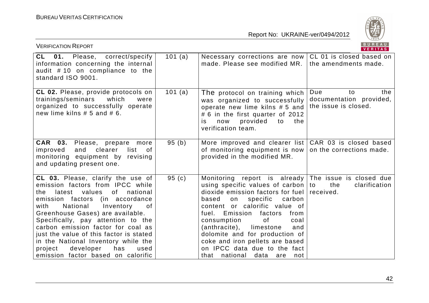

| <b>VERIFICATION REPORT</b>                                                                                                                                                                                                                                                                                                                                                                                                                                                  |         |                                                                                                                                                                                                                                                                                                                                                                                                                                         | BUREAU<br>VERITAS                                                   |
|-----------------------------------------------------------------------------------------------------------------------------------------------------------------------------------------------------------------------------------------------------------------------------------------------------------------------------------------------------------------------------------------------------------------------------------------------------------------------------|---------|-----------------------------------------------------------------------------------------------------------------------------------------------------------------------------------------------------------------------------------------------------------------------------------------------------------------------------------------------------------------------------------------------------------------------------------------|---------------------------------------------------------------------|
| CL 01. Please,<br>correct/specify<br>information concerning the internal<br>audit #10 on compliance to the<br>standard ISO 9001.                                                                                                                                                                                                                                                                                                                                            | 101 (a) | Necessary corrections are now<br>made. Please see modified MR.                                                                                                                                                                                                                                                                                                                                                                          | CL 01 is closed based on<br>the amendments made.                    |
| CL 02. Please, provide protocols on<br>trainings/seminars<br>which<br>were<br>organized to successfully operate<br>new lime kilns $# 5$ and $# 6$ .                                                                                                                                                                                                                                                                                                                         | 101 (a) | The protocol on training which<br>was organized to successfully<br>operate new lime kilns # 5 and<br># 6 in the first quarter of 2012<br>now<br>provided<br>to<br>the<br>is.<br>verification team.                                                                                                                                                                                                                                      | Due<br>the<br>to<br>documentation provided,<br>the issue is closed. |
| CAR 03.<br>Please, prepare more<br>and<br>clearer<br>list<br>improved<br>0f<br>monitoring equipment by revising<br>and updating present one.                                                                                                                                                                                                                                                                                                                                | 95(b)   | More improved and clearer list<br>of monitoring equipment is now<br>provided in the modified MR.                                                                                                                                                                                                                                                                                                                                        | CAR 03 is closed based<br>on the corrections made.                  |
| CL 03. Please, clarify the use of<br>emission factors from IPCC while<br>latest values<br>of<br>national<br>the<br>emission factors<br>(in accordance<br>National<br>Inventory<br>with<br>of<br>Greenhouse Gases) are available.<br>Specifically, pay attention to the<br>carbon emission factor for coal as<br>just the value of this factor is stated<br>in the National Inventory while the<br>developer<br>project<br>has<br>used<br>emission factor based on calorific | 95(c)   | Monitoring report is already<br>using specific values of carbon $ $ to<br>dioxide emission factors for fuel<br>specific<br>based<br>carbon<br>on<br>content or calorific value of<br>Emission<br>factors<br>fuel.<br>from<br>consumption<br>of<br>coal<br>(anthracite),<br>limestone<br>and<br>dolomite and for production of<br>coke and iron pellets are based<br>on IPCC data due to the fact<br>that national<br>data<br>are<br>not | The issue is closed due<br>the<br>clarification<br>received.        |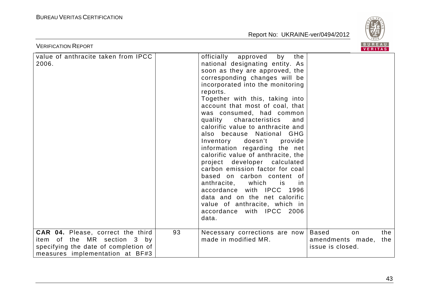

| <b>VERIFICATION REPORT</b>                                                                                                                         |    |                                                                                                                                                                                                                                                                                                                                                                                                                                                                                                                                                                                                                                                                                                                                                                                 |                                                             | BUREAU<br><b>VERITAS</b> |
|----------------------------------------------------------------------------------------------------------------------------------------------------|----|---------------------------------------------------------------------------------------------------------------------------------------------------------------------------------------------------------------------------------------------------------------------------------------------------------------------------------------------------------------------------------------------------------------------------------------------------------------------------------------------------------------------------------------------------------------------------------------------------------------------------------------------------------------------------------------------------------------------------------------------------------------------------------|-------------------------------------------------------------|--------------------------|
| value of anthracite taken from IPCC<br>2006.                                                                                                       |    | officially<br>approved<br>by<br>the<br>national designating entity. As<br>soon as they are approved, the<br>corresponding changes will be<br>incorporated into the monitoring<br>reports.<br>Together with this, taking into<br>account that most of coal, that<br>was consumed, had common<br>quality characteristics<br>and<br>calorific value to anthracite and<br>also because National GHG<br>Inventory doesn't<br>provide<br>information regarding the net<br>calorific value of anthracite, the<br>project developer calculated<br>carbon emission factor for coal<br>based on carbon content of<br>anthracite, which<br>is.<br>In.<br>accordance with IPCC 1996<br>data and on the net calorific<br>value of anthracite, which in<br>accordance with IPCC 2006<br>data. |                                                             |                          |
| <b>CAR 04.</b> Please, correct the third<br>item of the MR section 3 by<br>specifying the date of completion of<br>measures implementation at BF#3 | 93 | Necessary corrections are now<br>made in modified MR.                                                                                                                                                                                                                                                                                                                                                                                                                                                                                                                                                                                                                                                                                                                           | <b>Based</b><br>on.<br>amendments made,<br>issue is closed. | the<br>the               |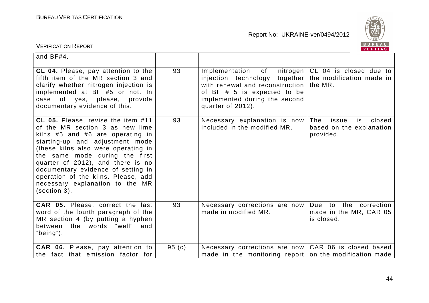

| <b>VERIFICATION REPORT</b>                                                                                                                                                                                                                                                                                                                                                                    |       |                                                                                                                                                                                                                      | BUREAU<br>VERITAS                                                     |
|-----------------------------------------------------------------------------------------------------------------------------------------------------------------------------------------------------------------------------------------------------------------------------------------------------------------------------------------------------------------------------------------------|-------|----------------------------------------------------------------------------------------------------------------------------------------------------------------------------------------------------------------------|-----------------------------------------------------------------------|
| and BF#4.                                                                                                                                                                                                                                                                                                                                                                                     |       |                                                                                                                                                                                                                      |                                                                       |
| CL 04. Please, pay attention to the<br>fifth item of the MR section 3 and<br>clarify whether nitrogen injection is<br>implemented at BF #5 or not. In<br>case of yes, please, provide<br>documentary evidence of this.                                                                                                                                                                        | 93    | Implementation<br>of<br>nitrogen  <br>injection technology together the modification made in<br>with renewal and reconstruction<br>of BF # 5 is expected to be<br>implemented during the second<br>quarter of 2012). | CL 04 is closed due to<br>the MR.                                     |
| CL 05. Please, revise the item #11<br>of the MR section 3 as new lime<br>kilns #5 and #6 are operating in<br>starting-up and adjustment mode<br>(these kilns also were operating in<br>the same mode during the first<br>quarter of 2012), and there is no<br>documentary evidence of setting in<br>operation of the kilns. Please, add<br>necessary explanation to the MR<br>$(section 3)$ . | 93    | Necessary explanation is now<br>included in the modified MR.                                                                                                                                                         | The<br>is<br>issue<br>closed<br>based on the explanation<br>provided. |
| <b>CAR 05.</b> Please, correct the last<br>word of the fourth paragraph of the<br>MR section 4 (by putting a hyphen<br>between the words "well"<br>and<br>"being").                                                                                                                                                                                                                           | 93    | Necessary corrections are now<br>made in modified MR.                                                                                                                                                                | Due to the correction<br>made in the MR, CAR 05<br>is closed.         |
| CAR 06. Please, pay attention to<br>the fact that emission factor for                                                                                                                                                                                                                                                                                                                         | 95(c) | Necessary corrections are now   CAR 06 is closed based<br>made in the monitoring report on the modification made                                                                                                     |                                                                       |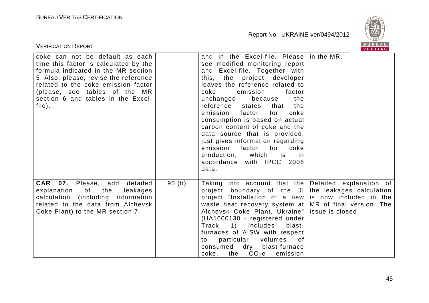

| <b>VERIFICATION REPORT</b>                                                                                                                                                                                                                                                       |       |                                                                                                                                                                                                                                                                                                                                                                                                                                                                                                                                                                       | B U K E A U  <br>VERITAS |
|----------------------------------------------------------------------------------------------------------------------------------------------------------------------------------------------------------------------------------------------------------------------------------|-------|-----------------------------------------------------------------------------------------------------------------------------------------------------------------------------------------------------------------------------------------------------------------------------------------------------------------------------------------------------------------------------------------------------------------------------------------------------------------------------------------------------------------------------------------------------------------------|--------------------------|
| coke can not be default as each<br>time this factor is calculated by the<br>formula indicated in the MR section<br>5. Also, please, revise the reference<br>related to the coke emission factor<br>(please, see tables of the MR<br>section 6 and tables in the Excel-<br>file). |       | and in the Excel-file. Please in the MR.<br>see modified monitoring report<br>and Excel-file. Together with<br>this, the project developer<br>leaves the reference related to<br>coke<br>emission<br>factor<br>the<br>unchanged<br>because<br>reference states<br>that<br>the<br>emission<br>factor<br>coke<br>for<br>consumption is based on actual<br>carbon content of coke and the<br>data source that is provided,<br>just gives information regarding<br>emission<br>factor<br>for<br>coke<br>production, which is<br>.in<br>accordance with IPCC 2006<br>data. |                          |
| <b>CAR 07.</b> Please, add detailed<br>explanation of the<br>leakages<br>calculation (including information<br>related to the data from Alchevsk<br>Coke Plant) to the MR section 7.                                                                                             | 95(b) | Taking into account that the Detailed explanation of<br>project boundary of the JI the leakages calculation<br>project "Installation of a new is now included in the<br>waste heat recovery system at $MR$ of final version. The<br>Alchevsk Coke Plant, Ukraine"   issue is closed.<br>(UA1000130 - registered under<br>Track<br>1)<br>includes<br>blast-<br>furnaces of AISW with respect<br>particular<br>volumes of<br>to<br>dry blast-furnace<br>consumed<br>$CO2$ e<br>the<br>coke,<br>emission                                                                 |                          |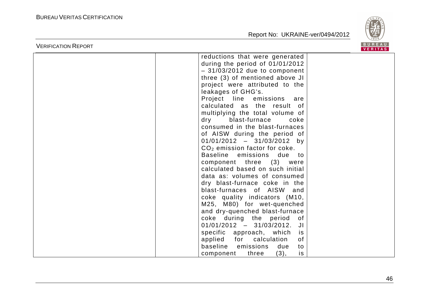

| <b>VERIFICATION REPORT</b> |                                                                                                                                                                                                                                                                                                                                                                                                                                                                                                                                                                                                                                                                                                                                                                  | B U K E A U  <br>VERITAS |
|----------------------------|------------------------------------------------------------------------------------------------------------------------------------------------------------------------------------------------------------------------------------------------------------------------------------------------------------------------------------------------------------------------------------------------------------------------------------------------------------------------------------------------------------------------------------------------------------------------------------------------------------------------------------------------------------------------------------------------------------------------------------------------------------------|--------------------------|
|                            | reductions that were generated<br>during the period of 01/01/2012<br>$-31/03/2012$ due to component<br>three (3) of mentioned above JI<br>project were attributed to the<br>leakages of GHG's.<br>Project line emissions are<br>calculated as the result of<br>multiplying the total volume of<br>dry blast-furnace<br>coke<br>consumed in the blast-furnaces<br>of AISW during the period of<br>$01/01/2012 - 31/03/2012$ by<br>$CO2$ emission factor for coke.<br>Baseline emissions<br>due to<br>component three (3) were<br>calculated based on such initial<br>data as: volumes of consumed<br>dry blast-furnace coke in the<br>blast-furnaces of AISW and<br>coke quality indicators (M10,<br>M25, M80) for wet-quenched<br>and dry-quenched blast-furnace |                          |
|                            | coke during the period<br>of o<br>$01/01/2012 - 31/03/2012$ . JI<br>specific approach, which<br>is<br>applied for calculation<br>0f<br>baseline<br>emissions<br>due<br>to<br>(3),<br>is<br>component<br>three                                                                                                                                                                                                                                                                                                                                                                                                                                                                                                                                                    |                          |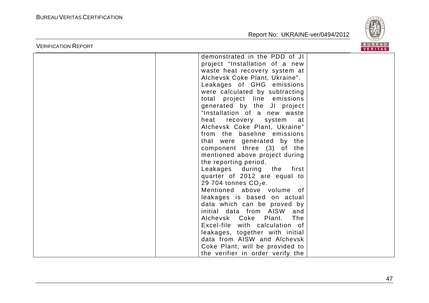

|                            |                                                                                                                                                                                                                                                                                                                                                                                                                                                                                                                                                                                                                                        | <b>VERITAS</b> |
|----------------------------|----------------------------------------------------------------------------------------------------------------------------------------------------------------------------------------------------------------------------------------------------------------------------------------------------------------------------------------------------------------------------------------------------------------------------------------------------------------------------------------------------------------------------------------------------------------------------------------------------------------------------------------|----------------|
| <b>VERIFICATION REPORT</b> | demonstrated in the PDD of JI<br>project "Installation of a new<br>waste heat recovery system at<br>Alchevsk Coke Plant, Ukraine".<br>Leakages of GHG emissions<br>were calculated by subtracting<br>total project line emissions<br>generated by the JI project<br>"Installation of a new waste<br>heat recovery system at<br>Alchevsk Coke Plant, Ukraine"<br>from the baseline emissions<br>that were generated by the<br>component three (3) of the<br>mentioned above project during<br>the reporting period.<br>Leakages during the first<br>quarter of 2012 are equal to<br>29 704 tonnes $CO2e$ .<br>Mentioned above volume of | <b>BUREAU</b>  |
|                            | leakages is based on actual<br>data which can be proved by<br>initial data from AISW and<br>Alchevsk Coke Plant.<br>The<br>Excel-file with calculation of                                                                                                                                                                                                                                                                                                                                                                                                                                                                              |                |
|                            | leakages, together with initial<br>data from AISW and Alchevsk<br>Coke Plant, will be provided to<br>the verifier in order verify the                                                                                                                                                                                                                                                                                                                                                                                                                                                                                                  |                |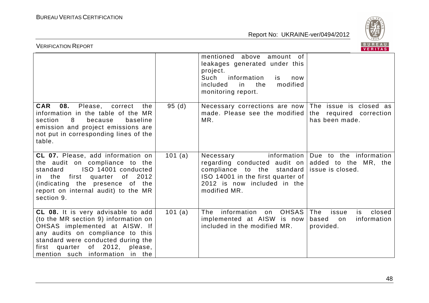

| <b>VERIFICATION REPORT</b>                                                                                                                                                                                                                                          |         |                                                                                                                                                                              | BUREAU<br>VERITAS                                                       |
|---------------------------------------------------------------------------------------------------------------------------------------------------------------------------------------------------------------------------------------------------------------------|---------|------------------------------------------------------------------------------------------------------------------------------------------------------------------------------|-------------------------------------------------------------------------|
|                                                                                                                                                                                                                                                                     |         | mentioned above amount of<br>leakages generated under this<br>project.<br>Such<br>information<br>is<br>now<br>modified<br>the<br>included<br>in l<br>monitoring report.      |                                                                         |
| <b>CAR</b><br>08.<br>Please,<br>correct<br>the<br>information in the table of the MR<br>section<br>8<br>because<br>baseline<br>emission and project emissions are<br>not put in corresponding lines of the<br>table.                                                | 95(d)   | Necessary corrections are now<br>made. Please see the modified<br>MR.                                                                                                        | The issue is closed as<br>the required correction<br>has been made.     |
| CL 07. Please, add information on<br>the audit on compliance to the<br>ISO 14001 conducted<br>standard<br>in the first quarter<br>of 2012<br>(indicating the presence of the<br>report on internal audit) to the MR<br>section 9.                                   | 101 (a) | information  <br>Necessary<br>regarding conducted audit on<br>compliance to the standard<br>ISO 14001 in the first quarter of<br>2012 is now included in the<br>modified MR. | Due to the information<br>added to the MR, the<br>issue is closed.      |
| CL 08. It is very advisable to add<br>(to the MR section 9) information on<br>OHSAS implemented at AISW. If<br>any audits on compliance to this<br>standard were conducted during the<br>of 2012,<br>quarter<br>please,<br>first<br>mention such information in the | 101 (a) | information<br><b>OHSAS</b><br>The<br>on<br>implemented at AISW is now<br>included in the modified MR.                                                                       | The<br>closed<br>issue<br>is<br>information<br>based<br>on<br>provided. |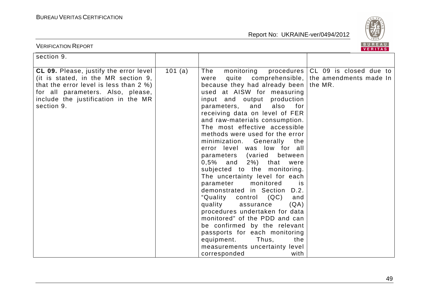

| <b>VERIFICATION REPORT</b>                                                                                                                                                                                        |         |                                                                                                                                                                                                                                                                                                                                                                                                                                                                                                                                                                                                                                                                                                                                                                                                                                                                                                    | BUREAU<br>VERITAS                                                                 |
|-------------------------------------------------------------------------------------------------------------------------------------------------------------------------------------------------------------------|---------|----------------------------------------------------------------------------------------------------------------------------------------------------------------------------------------------------------------------------------------------------------------------------------------------------------------------------------------------------------------------------------------------------------------------------------------------------------------------------------------------------------------------------------------------------------------------------------------------------------------------------------------------------------------------------------------------------------------------------------------------------------------------------------------------------------------------------------------------------------------------------------------------------|-----------------------------------------------------------------------------------|
| section 9.                                                                                                                                                                                                        |         |                                                                                                                                                                                                                                                                                                                                                                                                                                                                                                                                                                                                                                                                                                                                                                                                                                                                                                    |                                                                                   |
| CL 09. Please, justify the error level<br>(it is stated, in the MR section 9,<br>that the error level is less than 2 %)<br>for all parameters. Also, please,<br>include the justification in the MR<br>section 9. | 101 (a) | monitoring<br>The<br>were<br>because they had already been   the MR.<br>used at AISW for measuring<br>input and output production<br>parameters,<br>and<br>also<br>for<br>receiving data on level of FER<br>and raw-materials consumption.<br>The most effective accessible<br>methods were used for the error<br>minimization. Generally<br>the<br>error level was low for all<br>(varied between)<br>parameters<br>$2\%)$ that<br>$0,5\%$ and<br>were<br>subjected to the monitoring.<br>The uncertainty level for each<br>monitored<br>parameter<br><b>is</b><br>demonstrated in Section D.2.<br>"Quality<br>(QC)<br>control<br>and<br>quality<br>(QA)<br>assurance<br>procedures undertaken for data<br>monitored" of the PDD and can<br>be confirmed by the relevant<br>passports for each monitoring<br>equipment.<br>Thus,<br>the<br>measurements uncertainty level<br>corresponded<br>with | procedures CL 09 is closed due to<br>quite comprehensible, the amendments made In |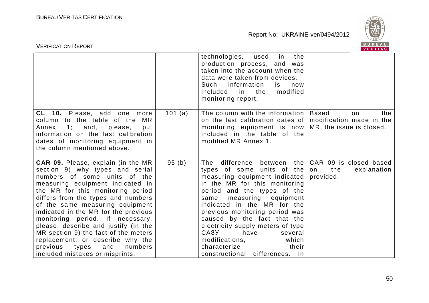

| <b>VERIFICATION REPORT</b>                                                                                                                                                                                                                                                                                                                                                                                                                                                                                                               |           |                                                                                                                                                                                                                                                                                                                                                                                                                                                         | BUREAU<br><b>VERITAS</b>                                        |
|------------------------------------------------------------------------------------------------------------------------------------------------------------------------------------------------------------------------------------------------------------------------------------------------------------------------------------------------------------------------------------------------------------------------------------------------------------------------------------------------------------------------------------------|-----------|---------------------------------------------------------------------------------------------------------------------------------------------------------------------------------------------------------------------------------------------------------------------------------------------------------------------------------------------------------------------------------------------------------------------------------------------------------|-----------------------------------------------------------------|
|                                                                                                                                                                                                                                                                                                                                                                                                                                                                                                                                          |           | technologies,<br>in<br>the<br>used<br>production process, and<br>was<br>taken into the account when the<br>data were taken from devices.<br>Such information<br>is.<br>now<br>the<br>modified<br>included<br>in<br>monitoring report.                                                                                                                                                                                                                   |                                                                 |
| <b>CL 10.</b> Please, add one more<br>column to the table of the<br>MR<br>1; and, please,<br>Annex<br>put<br>information on the last calibration<br>dates of monitoring equipment in<br>the column mentioned above.                                                                                                                                                                                                                                                                                                                      | 101 $(a)$ | The column with the information  <br>on the last calibration dates of<br>monitoring equipment is now   MR, the issue is closed.<br>included in the table of the<br>modified MR Annex 1.                                                                                                                                                                                                                                                                 | Based<br>the<br>on<br>modification made in the                  |
| <b>CAR 09.</b> Please, explain (in the MR<br>section 9) why types and serial<br>numbers of some units of the<br>measuring equipment indicated in<br>the MR for this monitoring period<br>differs from the types and numbers<br>of the same measuring equipment<br>indicated in the MR for the previous<br>monitoring period. If necessary,<br>please, describe and justify (in the<br>MR section 9) the fact of the meters<br>replacement; or describe why the<br>numbers<br>previous<br>types<br>and<br>included mistakes or misprints. | 95(b)     | difference<br>the<br>The<br>between<br>types of some units of the<br>measuring equipment indicated<br>in the MR for this monitoring<br>period and the types of the<br>measuring equipment<br>same<br>indicated in the MR for the<br>previous monitoring period was<br>caused by the fact that the<br>electricity supply meters of type<br>CA3Y<br>have<br>several<br>modifications,<br>which<br>their<br>characterize<br>constructional differences. In | CAR 09 is closed based<br>the<br>explanation<br>on<br>provided. |